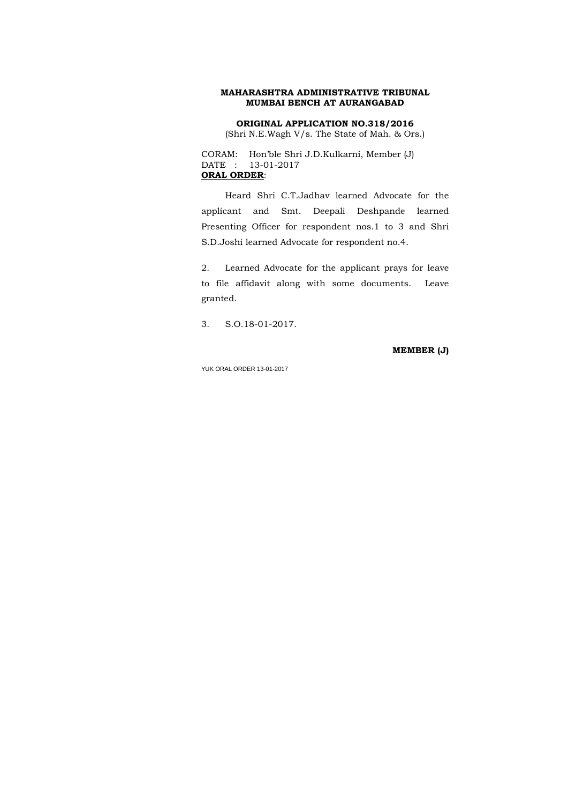## **ORIGINAL APPLICATION NO.318/2016**

(Shri N.E.Wagh V/s. The State of Mah. & Ors.)

CORAM: Hon'ble Shri J.D.Kulkarni, Member (J) DATE : 13-01-2017 **ORAL ORDER**:

 Heard Shri C.T.Jadhav learned Advocate for the applicant and Smt. Deepali Deshpande learned Presenting Officer for respondent nos.1 to 3 and Shri S.D.Joshi learned Advocate for respondent no.4.

2. Learned Advocate for the applicant prays for leave to file affidavit along with some documents. Leave granted.

3. S.O.18-01-2017.

**MEMBER (J)**

YUK ORAL ORDER 13-01-2017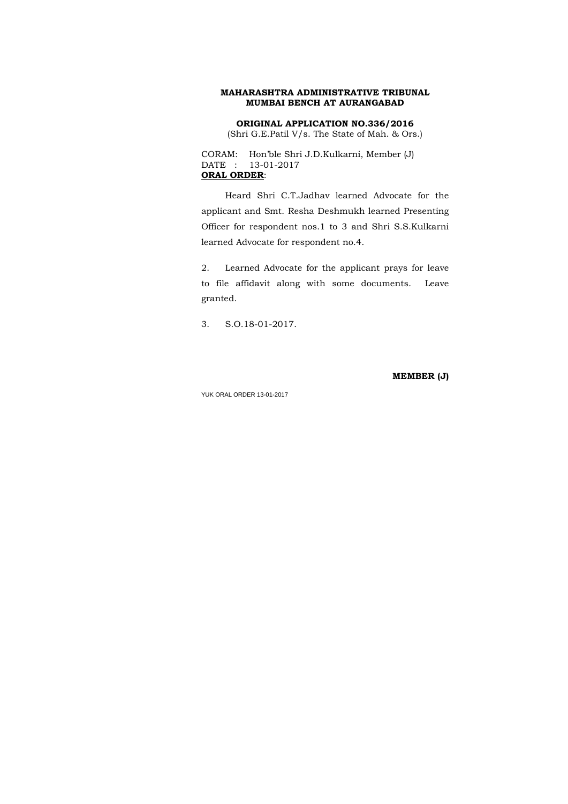## **ORIGINAL APPLICATION NO.336/2016**

(Shri G.E.Patil V/s. The State of Mah. & Ors.)

CORAM: Hon'ble Shri J.D.Kulkarni, Member (J) DATE : 13-01-2017 **ORAL ORDER**:

 Heard Shri C.T.Jadhav learned Advocate for the applicant and Smt. Resha Deshmukh learned Presenting Officer for respondent nos.1 to 3 and Shri S.S.Kulkarni learned Advocate for respondent no.4.

2. Learned Advocate for the applicant prays for leave to file affidavit along with some documents. Leave granted.

3. S.O.18-01-2017.

**MEMBER (J)**

YUK ORAL ORDER 13-01-2017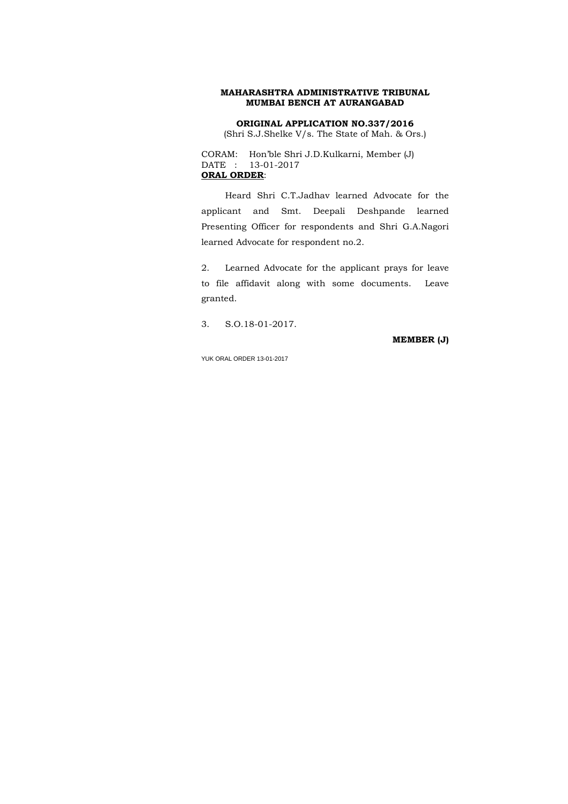## **ORIGINAL APPLICATION NO.337/2016**

(Shri S.J.Shelke V/s. The State of Mah. & Ors.)

CORAM: Hon'ble Shri J.D.Kulkarni, Member (J) DATE : 13-01-2017 **ORAL ORDER**:

 Heard Shri C.T.Jadhav learned Advocate for the applicant and Smt. Deepali Deshpande learned Presenting Officer for respondents and Shri G.A.Nagori learned Advocate for respondent no.2.

2. Learned Advocate for the applicant prays for leave to file affidavit along with some documents. Leave granted.

3. S.O.18-01-2017.

**MEMBER (J)**

YUK ORAL ORDER 13-01-2017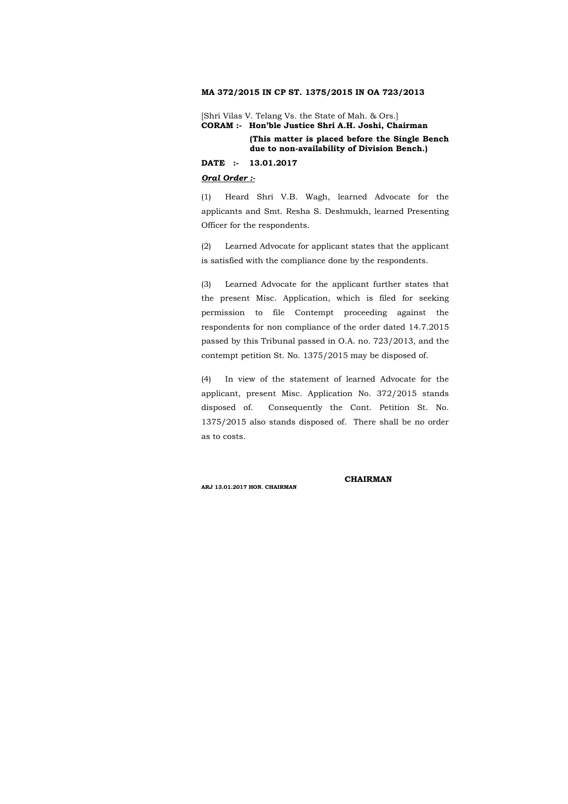### **MA 372/2015 IN CP ST. 1375/2015 IN OA 723/2013**

[Shri Vilas V. Telang Vs. the State of Mah. & Ors.] **CORAM :- Hon'ble Justice Shri A.H. Joshi, Chairman** 

> **(This matter is placed before the Single Bench due to non-availability of Division Bench.)**

#### **DATE :- 13.01.2017**

## *Oral Order :-*

(1) Heard Shri V.B. Wagh, learned Advocate for the applicants and Smt. Resha S. Deshmukh, learned Presenting Officer for the respondents.

(2) Learned Advocate for applicant states that the applicant is satisfied with the compliance done by the respondents.

(3) Learned Advocate for the applicant further states that the present Misc. Application, which is filed for seeking permission to file Contempt proceeding against the respondents for non compliance of the order dated 14.7.2015 passed by this Tribunal passed in O.A. no. 723/2013, and the contempt petition St. No. 1375/2015 may be disposed of.

(4) In view of the statement of learned Advocate for the applicant, present Misc. Application No. 372/2015 stands disposed of. Consequently the Cont. Petition St. No. 1375/2015 also stands disposed of. There shall be no order as to costs.

#### **CHAIRMAN**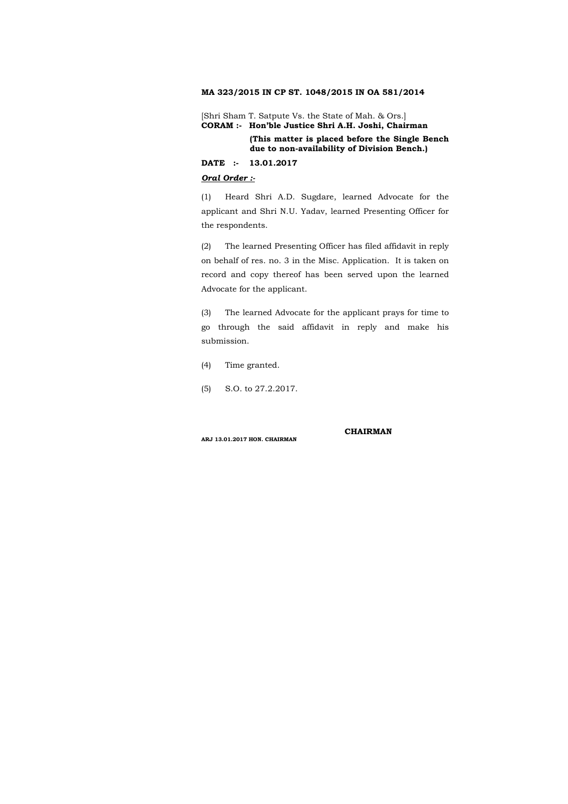### **MA 323/2015 IN CP ST. 1048/2015 IN OA 581/2014**

[Shri Sham T. Satpute Vs. the State of Mah. & Ors.] **CORAM :- Hon'ble Justice Shri A.H. Joshi, Chairman** 

> **(This matter is placed before the Single Bench due to non-availability of Division Bench.)**

### **DATE :- 13.01.2017**

### *Oral Order :-*

(1) Heard Shri A.D. Sugdare, learned Advocate for the applicant and Shri N.U. Yadav, learned Presenting Officer for the respondents.

(2) The learned Presenting Officer has filed affidavit in reply on behalf of res. no. 3 in the Misc. Application. It is taken on record and copy thereof has been served upon the learned Advocate for the applicant.

(3) The learned Advocate for the applicant prays for time to go through the said affidavit in reply and make his submission.

(4) Time granted.

(5) S.O. to 27.2.2017.

#### **CHAIRMAN**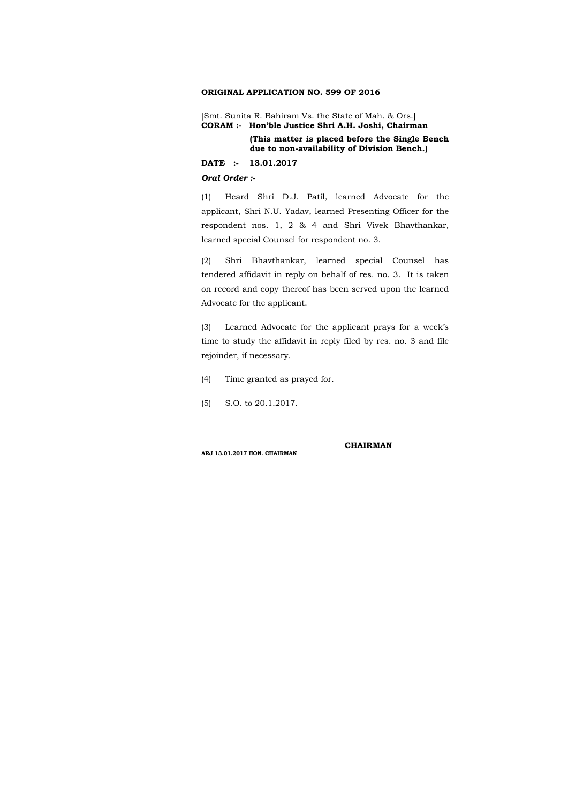### **ORIGINAL APPLICATION NO. 599 OF 2016**

[Smt. Sunita R. Bahiram Vs. the State of Mah. & Ors.] **CORAM :- Hon'ble Justice Shri A.H. Joshi, Chairman** 

> **(This matter is placed before the Single Bench due to non-availability of Division Bench.)**

### **DATE :- 13.01.2017**

### *Oral Order :-*

(1) Heard Shri D.J. Patil, learned Advocate for the applicant, Shri N.U. Yadav, learned Presenting Officer for the respondent nos. 1, 2 & 4 and Shri Vivek Bhavthankar, learned special Counsel for respondent no. 3.

(2) Shri Bhavthankar, learned special Counsel has tendered affidavit in reply on behalf of res. no. 3. It is taken on record and copy thereof has been served upon the learned Advocate for the applicant.

(3) Learned Advocate for the applicant prays for a week's time to study the affidavit in reply filed by res. no. 3 and file rejoinder, if necessary.

(4) Time granted as prayed for.

(5) S.O. to 20.1.2017.

#### **CHAIRMAN**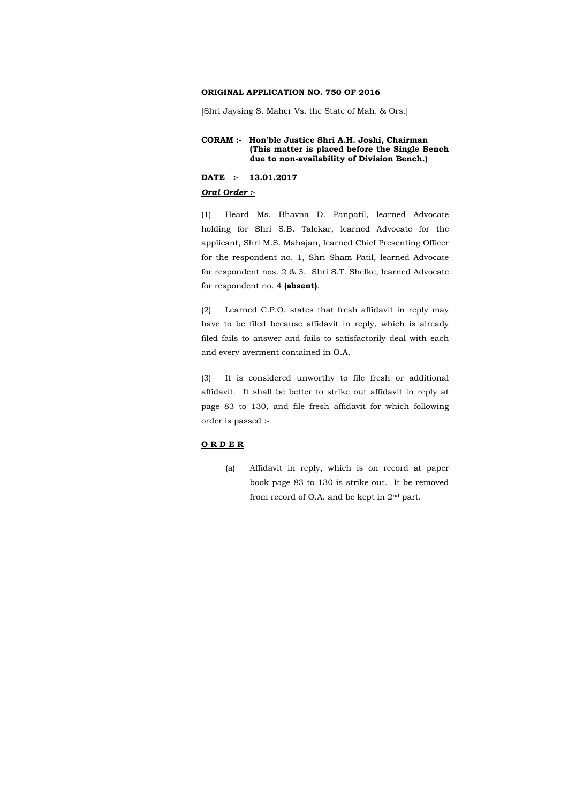#### **ORIGINAL APPLICATION NO. 750 OF 2016**

[Shri Jaysing S. Maher Vs. the State of Mah. & Ors.]

### **CORAM :- Hon'ble Justice Shri A.H. Joshi, Chairman (This matter is placed before the Single Bench due to non-availability of Division Bench.)**

#### **DATE :- 13.01.2017**

#### *Oral Order :-*

(1) Heard Ms. Bhavna D. Panpatil, learned Advocate holding for Shri S.B. Talekar, learned Advocate for the applicant, Shri M.S. Mahajan, learned Chief Presenting Officer for the respondent no. 1, Shri Sham Patil, learned Advocate for respondent nos. 2 & 3. Shri S.T. Shelke, learned Advocate for respondent no. 4 **(absent)**.

(2) Learned C.P.O. states that fresh affidavit in reply may have to be filed because affidavit in reply, which is already filed fails to answer and fails to satisfactorily deal with each and every averment contained in O.A.

(3) It is considered unworthy to file fresh or additional affidavit. It shall be better to strike out affidavit in reply at page 83 to 130, and file fresh affidavit for which following order is passed :-

#### **O R D E R**

(a) Affidavit in reply, which is on record at paper book page 83 to 130 is strike out. It be removed from record of O.A. and be kept in 2nd part.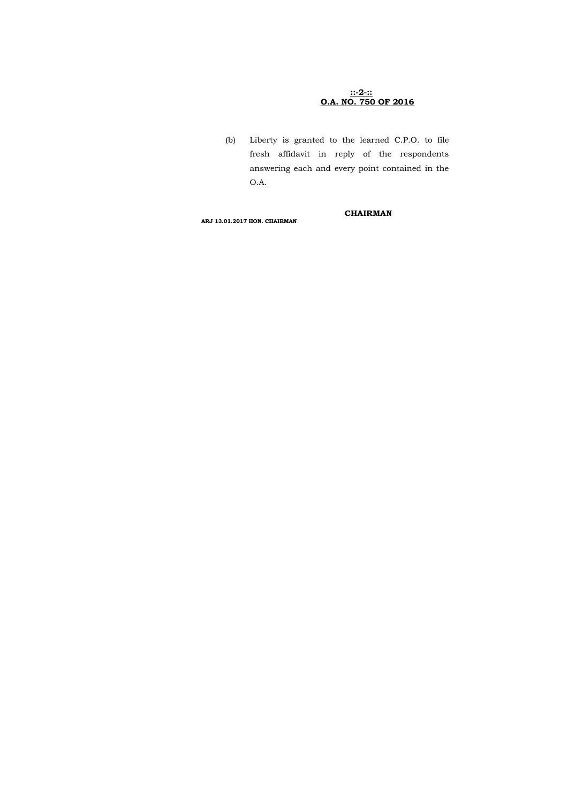## **::-2-:: O.A. NO. 750 OF 2016**

(b) Liberty is granted to the learned C.P.O. to file fresh affidavit in reply of the respondents answering each and every point contained in the O.A.

### **CHAIRMAN**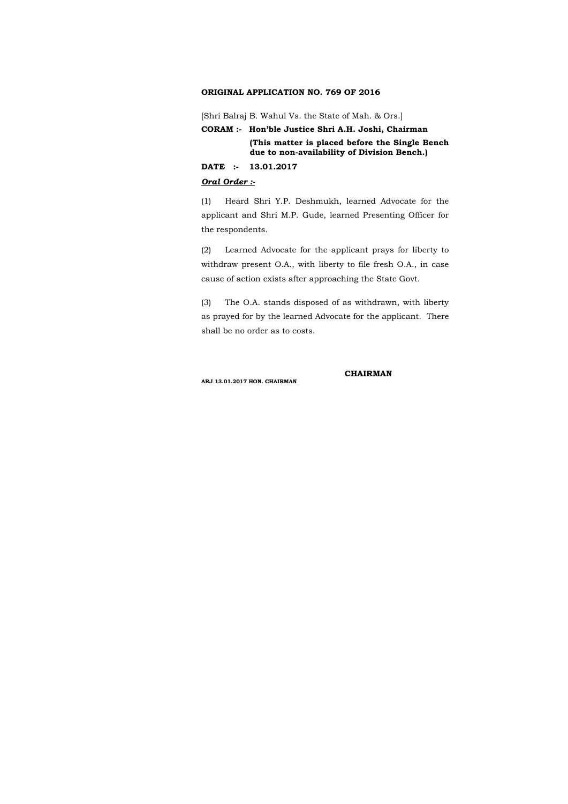### **ORIGINAL APPLICATION NO. 769 OF 2016**

[Shri Balraj B. Wahul Vs. the State of Mah. & Ors.]

**CORAM :- Hon'ble Justice Shri A.H. Joshi, Chairman** 

**(This matter is placed before the Single Bench due to non-availability of Division Bench.)** 

### **DATE :- 13.01.2017**

#### *Oral Order :-*

(1) Heard Shri Y.P. Deshmukh, learned Advocate for the applicant and Shri M.P. Gude, learned Presenting Officer for the respondents.

(2) Learned Advocate for the applicant prays for liberty to withdraw present O.A., with liberty to file fresh O.A., in case cause of action exists after approaching the State Govt.

(3) The O.A. stands disposed of as withdrawn, with liberty as prayed for by the learned Advocate for the applicant. There shall be no order as to costs.

 **CHAIRMAN**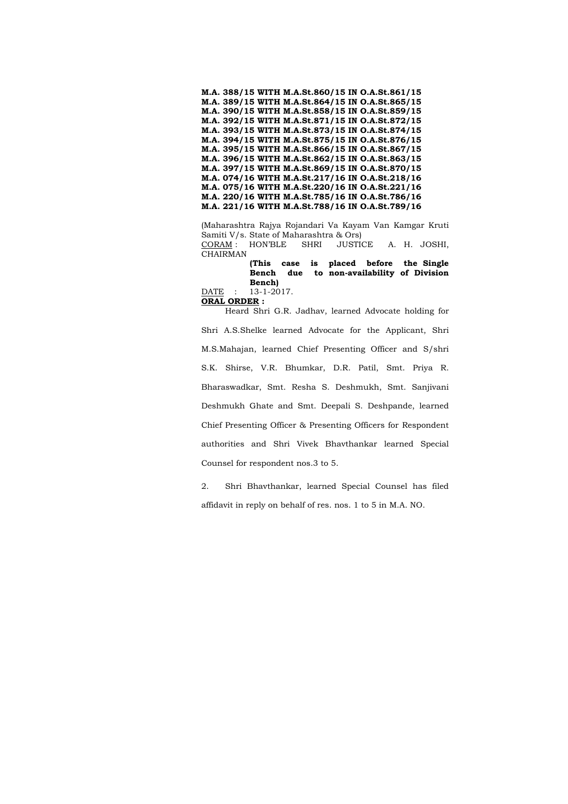**M.A. 388/15 WITH M.A.St.860/15 IN O.A.St.861/15 M.A. 389/15 WITH M.A.St.864/15 IN O.A.St.865/15 M.A. 390/15 WITH M.A.St.858/15 IN O.A.St.859/15 M.A. 392/15 WITH M.A.St.871/15 IN O.A.St.872/15 M.A. 393/15 WITH M.A.St.873/15 IN O.A.St.874/15 M.A. 394/15 WITH M.A.St.875/15 IN O.A.St.876/15 M.A. 395/15 WITH M.A.St.866/15 IN O.A.St.867/15 M.A. 396/15 WITH M.A.St.862/15 IN O.A.St.863/15 M.A. 397/15 WITH M.A.St.869/15 IN O.A.St.870/15 M.A. 074/16 WITH M.A.St.217/16 IN O.A.St.218/16 M.A. 075/16 WITH M.A.St.220/16 IN O.A.St.221/16 M.A. 220/16 WITH M.A.St.785/16 IN O.A.St.786/16 M.A. 221/16 WITH M.A.St.788/16 IN O.A.St.789/16** 

(Maharashtra Rajya Rojandari Va Kayam Van Kamgar Kruti Samiti V/s. State of Maharashtra & Ors) CORAM : HON'BLE SHRI JUSTICE A. H. JOSHI, CHAIRMAN

> **(This case is placed before the Single Bench due to non-availability of Division Bench)**

DATE : 13-1-2017.

**ORAL ORDER :** 

 Heard Shri G.R. Jadhav, learned Advocate holding for Shri A.S.Shelke learned Advocate for the Applicant, Shri M.S.Mahajan, learned Chief Presenting Officer and S/shri S.K. Shirse, V.R. Bhumkar, D.R. Patil, Smt. Priya R. Bharaswadkar, Smt. Resha S. Deshmukh, Smt. Sanjivani Deshmukh Ghate and Smt. Deepali S. Deshpande, learned Chief Presenting Officer & Presenting Officers for Respondent authorities and Shri Vivek Bhavthankar learned Special Counsel for respondent nos.3 to 5.

2. Shri Bhavthankar, learned Special Counsel has filed affidavit in reply on behalf of res. nos. 1 to 5 in M.A. NO.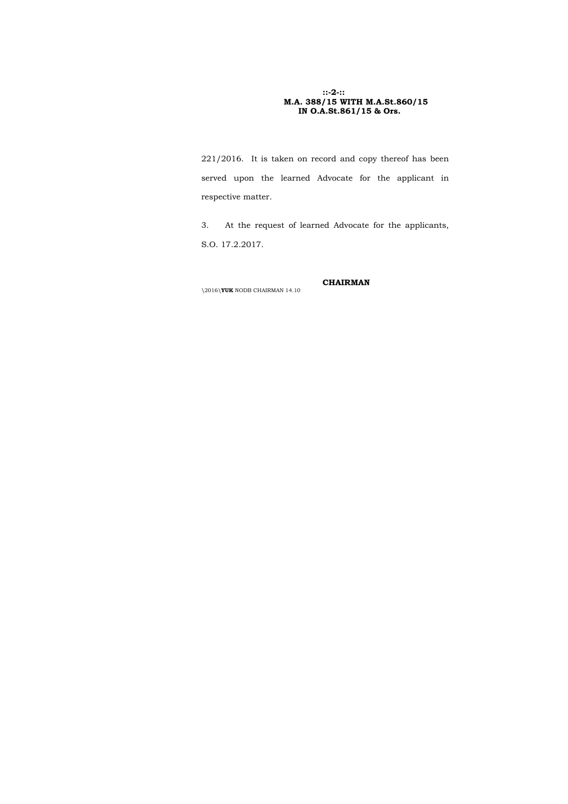## **::-2-:: M.A. 388/15 WITH M.A.St.860/15 IN O.A.St.861/15 & Ors.**

221/2016. It is taken on record and copy thereof has been served upon the learned Advocate for the applicant in respective matter.

3. At the request of learned Advocate for the applicants, S.O. 17.2.2017.

## **CHAIRMAN**

\2016\**YUK** NODB CHAIRMAN 14.10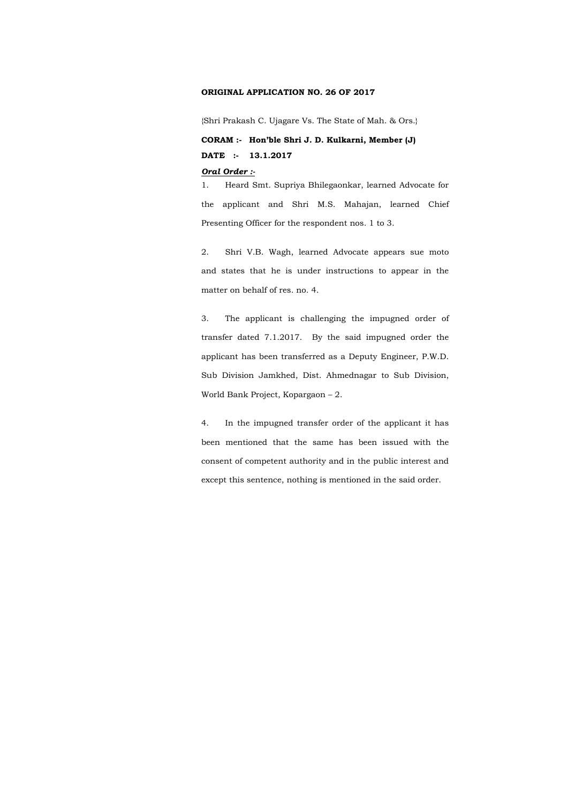#### **ORIGINAL APPLICATION NO. 26 OF 2017**

{Shri Prakash C. Ujagare Vs. The State of Mah. & Ors.}

**CORAM :- Hon'ble Shri J. D. Kulkarni, Member (J) DATE :- 13.1.2017** 

### *Oral Order :-*

1. Heard Smt. Supriya Bhilegaonkar, learned Advocate for the applicant and Shri M.S. Mahajan, learned Chief Presenting Officer for the respondent nos. 1 to 3.

2. Shri V.B. Wagh, learned Advocate appears sue moto and states that he is under instructions to appear in the matter on behalf of res. no. 4.

3. The applicant is challenging the impugned order of transfer dated 7.1.2017. By the said impugned order the applicant has been transferred as a Deputy Engineer, P.W.D. Sub Division Jamkhed, Dist. Ahmednagar to Sub Division, World Bank Project, Kopargaon – 2.

4. In the impugned transfer order of the applicant it has been mentioned that the same has been issued with the consent of competent authority and in the public interest and except this sentence, nothing is mentioned in the said order.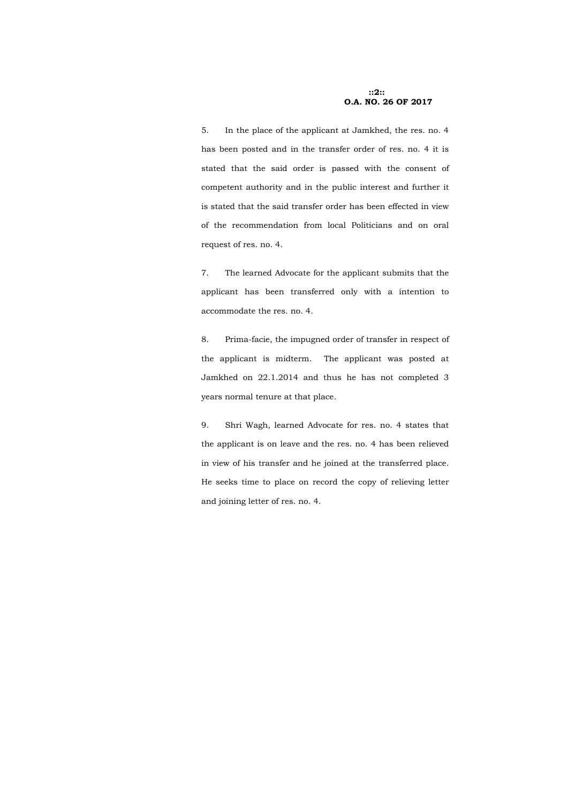### **::2:: O.A. NO. 26 OF 2017**

5. In the place of the applicant at Jamkhed, the res. no. 4 has been posted and in the transfer order of res. no. 4 it is stated that the said order is passed with the consent of competent authority and in the public interest and further it is stated that the said transfer order has been effected in view of the recommendation from local Politicians and on oral request of res. no. 4.

7. The learned Advocate for the applicant submits that the applicant has been transferred only with a intention to accommodate the res. no. 4.

8. Prima-facie, the impugned order of transfer in respect of the applicant is midterm. The applicant was posted at Jamkhed on 22.1.2014 and thus he has not completed 3 years normal tenure at that place.

9. Shri Wagh, learned Advocate for res. no. 4 states that the applicant is on leave and the res. no. 4 has been relieved in view of his transfer and he joined at the transferred place. He seeks time to place on record the copy of relieving letter and joining letter of res. no. 4.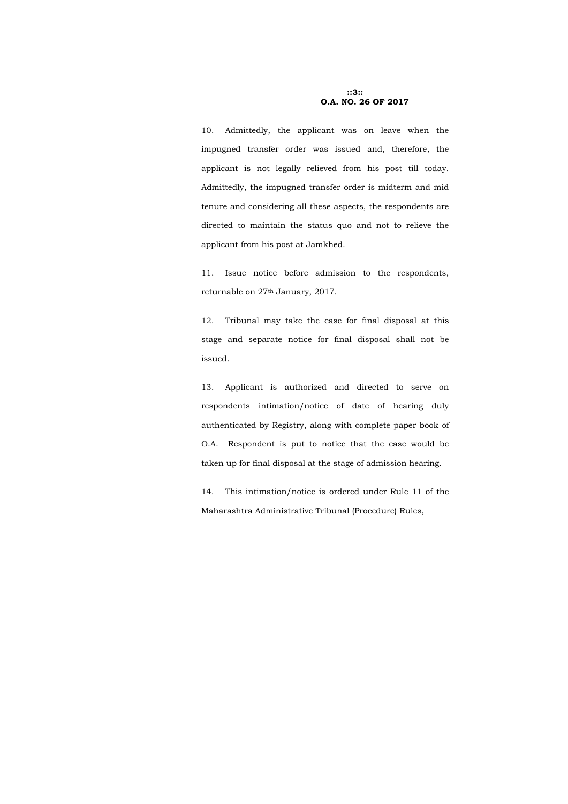**::3:: O.A. NO. 26 OF 2017** 

10. Admittedly, the applicant was on leave when the impugned transfer order was issued and, therefore, the applicant is not legally relieved from his post till today. Admittedly, the impugned transfer order is midterm and mid tenure and considering all these aspects, the respondents are directed to maintain the status quo and not to relieve the applicant from his post at Jamkhed.

11. Issue notice before admission to the respondents, returnable on 27th January, 2017.

12. Tribunal may take the case for final disposal at this stage and separate notice for final disposal shall not be issued.

13. Applicant is authorized and directed to serve on respondents intimation/notice of date of hearing duly authenticated by Registry, along with complete paper book of O.A. Respondent is put to notice that the case would be taken up for final disposal at the stage of admission hearing.

14. This intimation/notice is ordered under Rule 11 of the Maharashtra Administrative Tribunal (Procedure) Rules,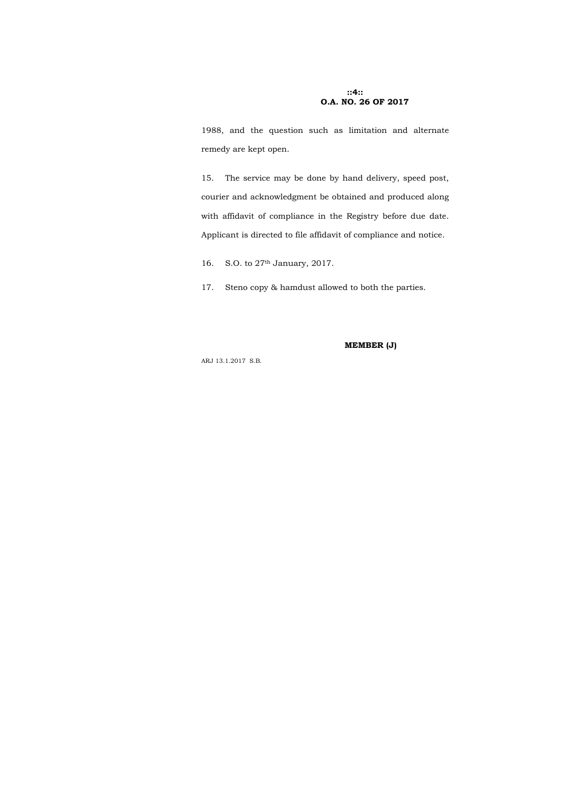### **::4:: O.A. NO. 26 OF 2017**

1988, and the question such as limitation and alternate remedy are kept open.

15. The service may be done by hand delivery, speed post, courier and acknowledgment be obtained and produced along with affidavit of compliance in the Registry before due date. Applicant is directed to file affidavit of compliance and notice.

16. S.O. to 27th January, 2017.

17. Steno copy & hamdust allowed to both the parties.

**MEMBER (J)** 

ARJ 13.1.2017 S.B.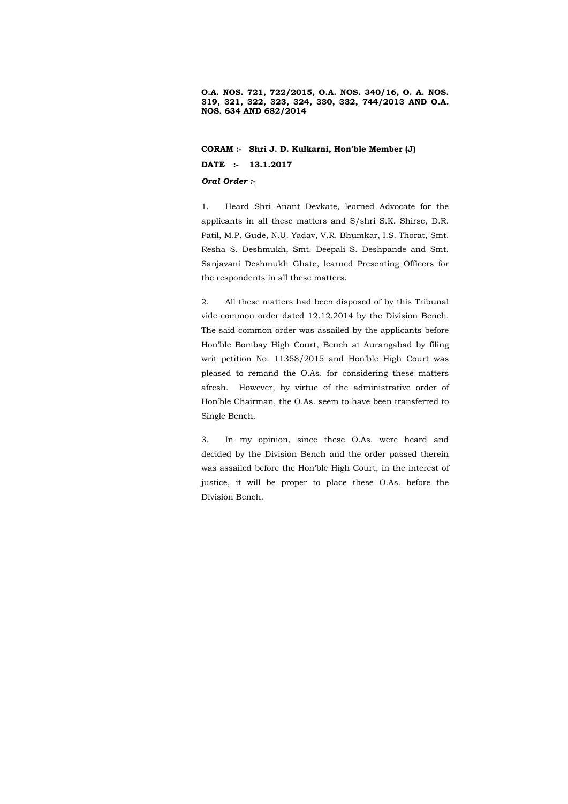**O.A. NOS. 721, 722/2015, O.A. NOS. 340/16, O. A. NOS. 319, 321, 322, 323, 324, 330, 332, 744/2013 AND O.A. NOS. 634 AND 682/2014** 

**CORAM :- Shri J. D. Kulkarni, Hon'ble Member (J) DATE :- 13.1.2017** 

### *Oral Order :-*

1. Heard Shri Anant Devkate, learned Advocate for the applicants in all these matters and S/shri S.K. Shirse, D.R. Patil, M.P. Gude, N.U. Yadav, V.R. Bhumkar, I.S. Thorat, Smt. Resha S. Deshmukh, Smt. Deepali S. Deshpande and Smt. Sanjavani Deshmukh Ghate, learned Presenting Officers for the respondents in all these matters.

2. All these matters had been disposed of by this Tribunal vide common order dated 12.12.2014 by the Division Bench. The said common order was assailed by the applicants before Hon'ble Bombay High Court, Bench at Aurangabad by filing writ petition No. 11358/2015 and Hon'ble High Court was pleased to remand the O.As. for considering these matters afresh. However, by virtue of the administrative order of Hon'ble Chairman, the O.As. seem to have been transferred to Single Bench.

3. In my opinion, since these O.As. were heard and decided by the Division Bench and the order passed therein was assailed before the Hon'ble High Court, in the interest of justice, it will be proper to place these O.As. before the Division Bench.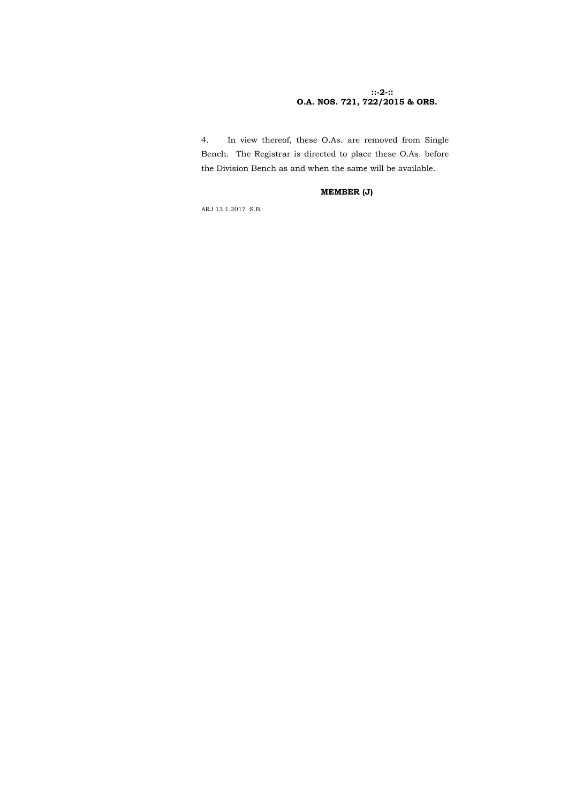## **::-2-:: O.A. NOS. 721, 722/2015 & ORS.**

4. In view thereof, these O.As. are removed from Single Bench. The Registrar is directed to place these O.As. before the Division Bench as and when the same will be available.

# **MEMBER (J)**

ARJ 13.1.2017 S.B.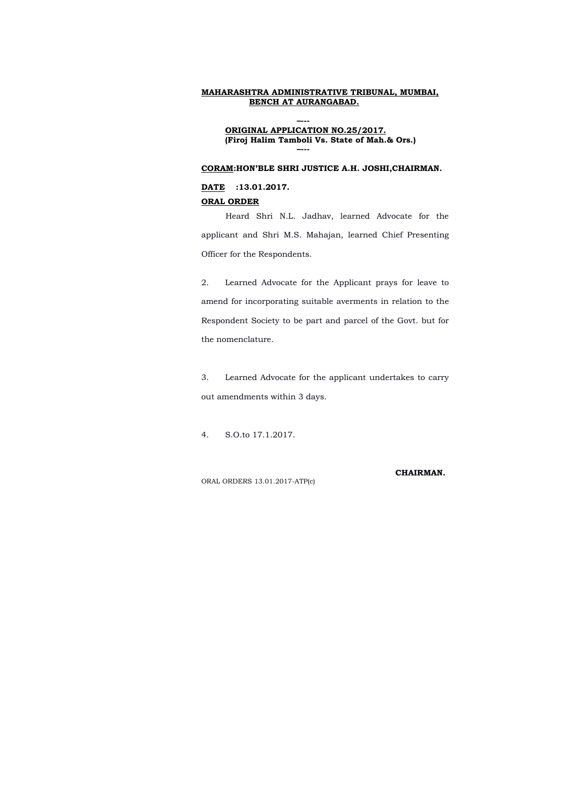**–--- ORIGINAL APPLICATION NO.25/2017. (Firoj Halim Tamboli Vs. State of Mah.& Ors.) –---** 

### **CORAM:HON'BLE SHRI JUSTICE A.H. JOSHI,CHAIRMAN.**

#### **DATE :13.01.2017.**

### **ORAL ORDER**

Heard Shri N.L. Jadhav, learned Advocate for the applicant and Shri M.S. Mahajan, learned Chief Presenting Officer for the Respondents.

2. Learned Advocate for the Applicant prays for leave to amend for incorporating suitable averments in relation to the Respondent Society to be part and parcel of the Govt. but for the nomenclature.

3. Learned Advocate for the applicant undertakes to carry out amendments within 3 days.

4. S.O.to 17.1.2017.

**CHAIRMAN.**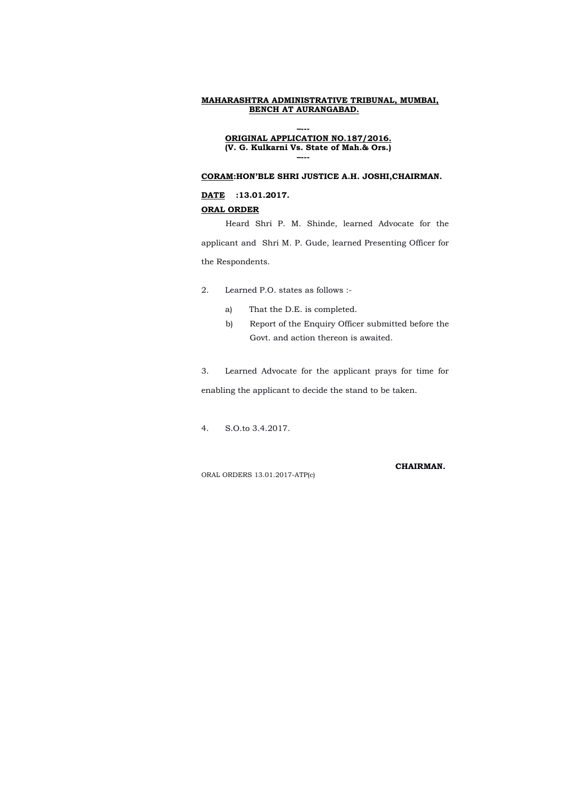### **–--- ORIGINAL APPLICATION NO.187/2016. (V. G. Kulkarni Vs. State of Mah.& Ors.) –---**

## **CORAM:HON'BLE SHRI JUSTICE A.H. JOSHI,CHAIRMAN.**

#### **DATE :13.01.2017.**

## **ORAL ORDER**

Heard Shri P. M. Shinde, learned Advocate for the applicant and Shri M. P. Gude, learned Presenting Officer for the Respondents.

- 2. Learned P.O. states as follows :
	- a) That the D.E. is completed.
	- b) Report of the Enquiry Officer submitted before the Govt. and action thereon is awaited.

3. Learned Advocate for the applicant prays for time for enabling the applicant to decide the stand to be taken.

4. S.O.to 3.4.2017.

#### **CHAIRMAN.**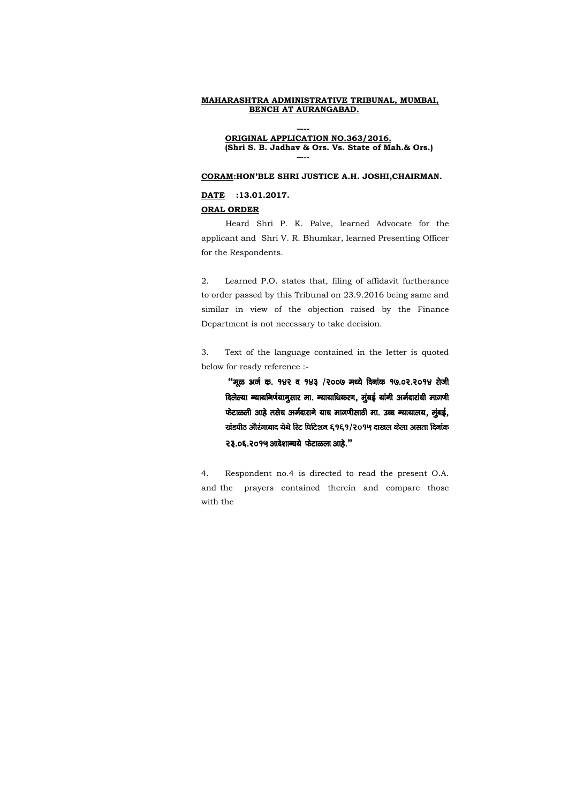### **–--- ORIGINAL APPLICATION NO.363/2016. (Shri S. B. Jadhav & Ors. Vs. State of Mah.& Ors.) –---**

#### **CORAM:HON'BLE SHRI JUSTICE A.H. JOSHI,CHAIRMAN.**

#### **DATE :13.01.2017.**

#### **ORAL ORDER**

Heard Shri P. K. Palve, learned Advocate for the applicant and Shri V. R. Bhumkar, learned Presenting Officer for the Respondents.

2. Learned P.O. states that, filing of affidavit furtherance to order passed by this Tribunal on 23.9.2016 being same and similar in view of the objection raised by the Finance Department is not necessary to take decision.

3. Text of the language contained in the letter is quoted below for ready reference :-

"मूळ अर्ज कृ. १४२ व १४३ /२००७ मध्ये दिनांक १७.०२.२०१४ रोजी दिलेल्या न्यायनिर्णयानुसार मा. न्यायाधिकरण, मुंबई यांनी अर्जदारांची मागणी फेटाळली आहे तसेच अर्जदाराने याच मागणीसाठी मा. उच्च न्यायालय, मूंबई, खंडपीठ औरंगाबाद येथे रिट पिटिशन ६१६१/२०१५ दाखल केला असता दिनांक **२३.०६.२०१५ आदेशान्वये फेटाळला आहे."** 

4. Respondent no.4 is directed to read the present O.A. and the prayers contained therein and compare those with the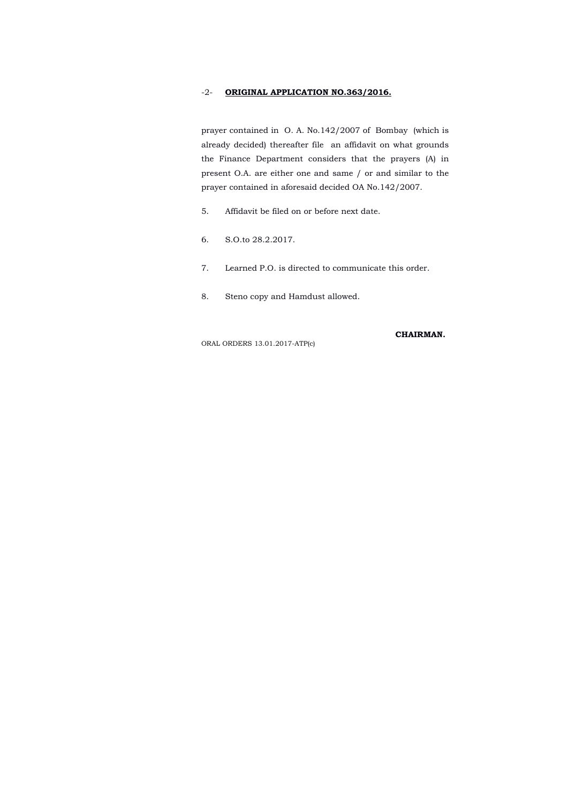## -2- **ORIGINAL APPLICATION NO.363/2016.**

prayer contained in O. A. No.142/2007 of Bombay (which is already decided) thereafter file an affidavit on what grounds the Finance Department considers that the prayers (A) in present O.A. are either one and same / or and similar to the prayer contained in aforesaid decided OA No.142/2007.

- 5. Affidavit be filed on or before next date.
- 6. S.O.to 28.2.2017.
- 7. Learned P.O. is directed to communicate this order.
- 8. Steno copy and Hamdust allowed.

#### **CHAIRMAN.**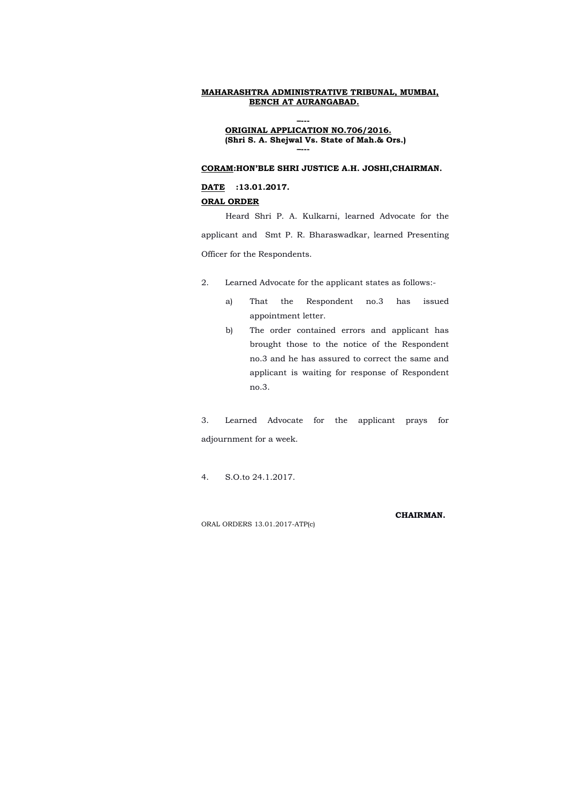**–--- ORIGINAL APPLICATION NO.706/2016. (Shri S. A. Shejwal Vs. State of Mah.& Ors.) –---** 

#### **CORAM:HON'BLE SHRI JUSTICE A.H. JOSHI,CHAIRMAN.**

#### **DATE :13.01.2017.**

### **ORAL ORDER**

Heard Shri P. A. Kulkarni, learned Advocate for the applicant and Smt P. R. Bharaswadkar, learned Presenting Officer for the Respondents.

- 2. Learned Advocate for the applicant states as follows:
	- a) That the Respondent no.3 has issued appointment letter.
	- b) The order contained errors and applicant has brought those to the notice of the Respondent no.3 and he has assured to correct the same and applicant is waiting for response of Respondent no.3.

3. Learned Advocate for the applicant prays for adjournment for a week.

4. S.O.to 24.1.2017.

### **CHAIRMAN.**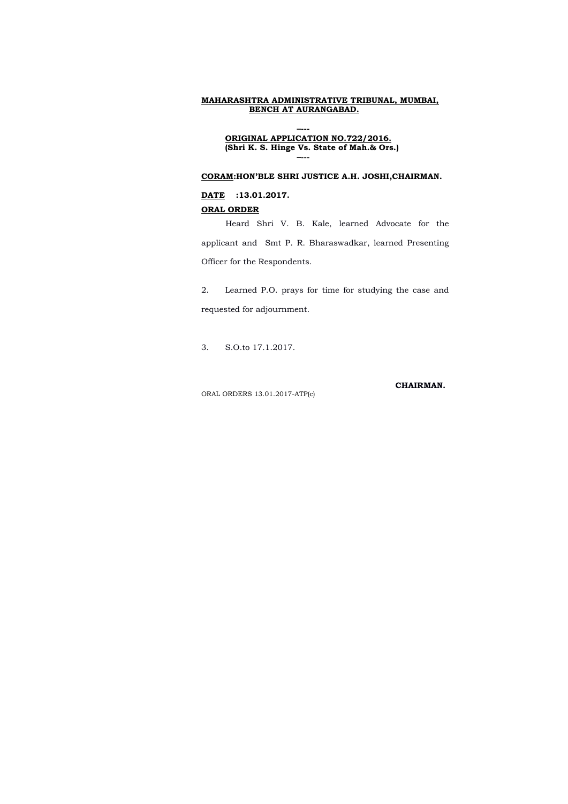### **–--- ORIGINAL APPLICATION NO.722/2016. (Shri K. S. Hinge Vs. State of Mah.& Ors.) –---**

### **CORAM:HON'BLE SHRI JUSTICE A.H. JOSHI,CHAIRMAN.**

### **DATE :13.01.2017.**

#### **ORAL ORDER**

Heard Shri V. B. Kale, learned Advocate for the applicant and Smt P. R. Bharaswadkar, learned Presenting Officer for the Respondents.

2. Learned P.O. prays for time for studying the case and requested for adjournment.

3. S.O.to 17.1.2017.

**CHAIRMAN.**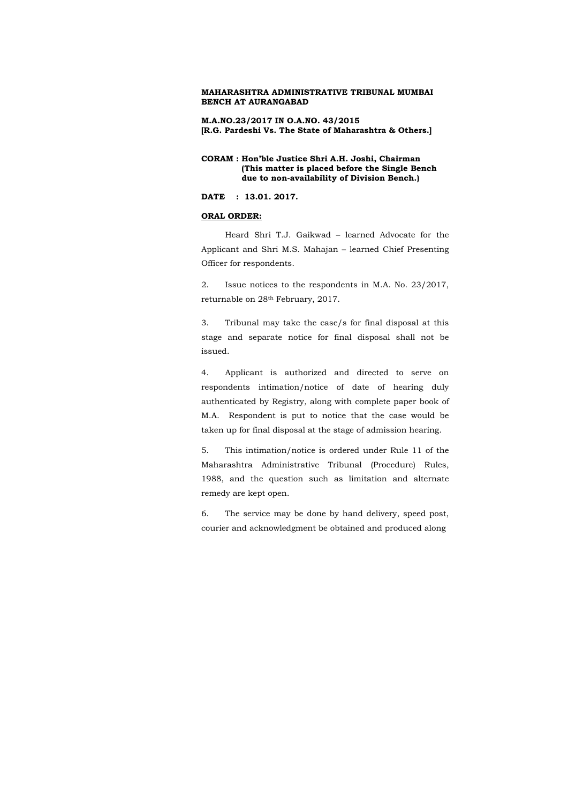**M.A.NO.23/2017 IN O.A.NO. 43/2015 [R.G. Pardeshi Vs. The State of Maharashtra & Others.]**

### **CORAM : Hon'ble Justice Shri A.H. Joshi, Chairman (This matter is placed before the Single Bench due to non-availability of Division Bench.)**

**DATE : 13.01. 2017.**

#### **ORAL ORDER:**

Heard Shri T.J. Gaikwad – learned Advocate for the Applicant and Shri M.S. Mahajan – learned Chief Presenting Officer for respondents.

2. Issue notices to the respondents in M.A. No. 23/2017, returnable on 28th February, 2017.

3. Tribunal may take the case/s for final disposal at this stage and separate notice for final disposal shall not be issued.

4. Applicant is authorized and directed to serve on respondents intimation/notice of date of hearing duly authenticated by Registry, along with complete paper book of M.A. Respondent is put to notice that the case would be taken up for final disposal at the stage of admission hearing.

5. This intimation/notice is ordered under Rule 11 of the Maharashtra Administrative Tribunal (Procedure) Rules, 1988, and the question such as limitation and alternate remedy are kept open.

6. The service may be done by hand delivery, speed post, courier and acknowledgment be obtained and produced along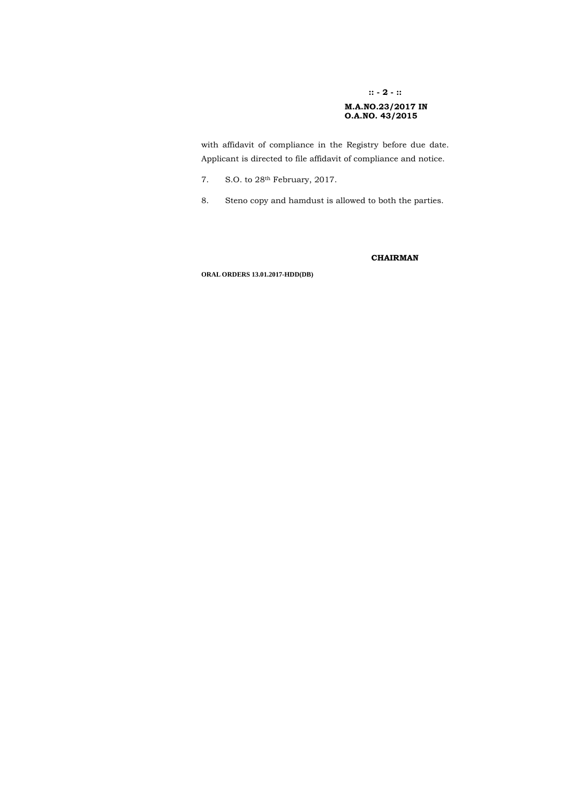### **:: - 2 - ::**

### **M.A.NO.23/2017 IN O.A.NO. 43/2015**

with affidavit of compliance in the Registry before due date. Applicant is directed to file affidavit of compliance and notice.

- 7. S.O. to 28th February, 2017.
- 8. Steno copy and hamdust is allowed to both the parties.

### **CHAIRMAN**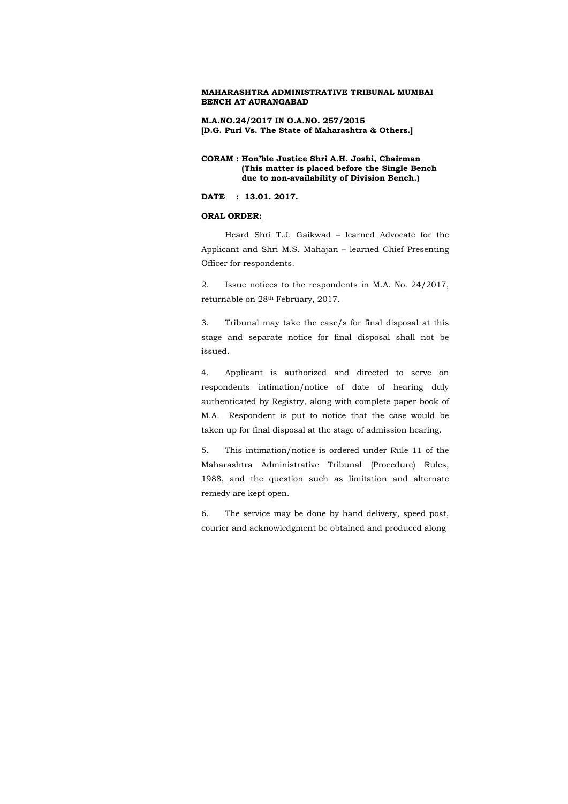**M.A.NO.24/2017 IN O.A.NO. 257/2015 [D.G. Puri Vs. The State of Maharashtra & Others.]**

### **CORAM : Hon'ble Justice Shri A.H. Joshi, Chairman (This matter is placed before the Single Bench due to non-availability of Division Bench.)**

**DATE : 13.01. 2017.**

### **ORAL ORDER:**

Heard Shri T.J. Gaikwad – learned Advocate for the Applicant and Shri M.S. Mahajan – learned Chief Presenting Officer for respondents.

2. Issue notices to the respondents in M.A. No. 24/2017, returnable on 28th February, 2017.

3. Tribunal may take the case/s for final disposal at this stage and separate notice for final disposal shall not be issued.

4. Applicant is authorized and directed to serve on respondents intimation/notice of date of hearing duly authenticated by Registry, along with complete paper book of M.A. Respondent is put to notice that the case would be taken up for final disposal at the stage of admission hearing.

5. This intimation/notice is ordered under Rule 11 of the Maharashtra Administrative Tribunal (Procedure) Rules, 1988, and the question such as limitation and alternate remedy are kept open.

6. The service may be done by hand delivery, speed post, courier and acknowledgment be obtained and produced along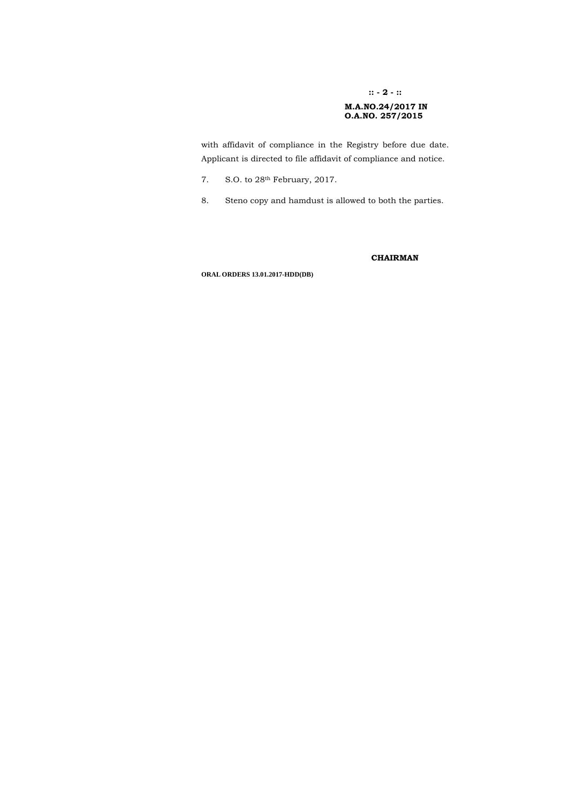### **:: - 2 - ::**

## **M.A.NO.24/2017 IN O.A.NO. 257/2015**

with affidavit of compliance in the Registry before due date. Applicant is directed to file affidavit of compliance and notice.

- 7. S.O. to 28th February, 2017.
- 8. Steno copy and hamdust is allowed to both the parties.

### **CHAIRMAN**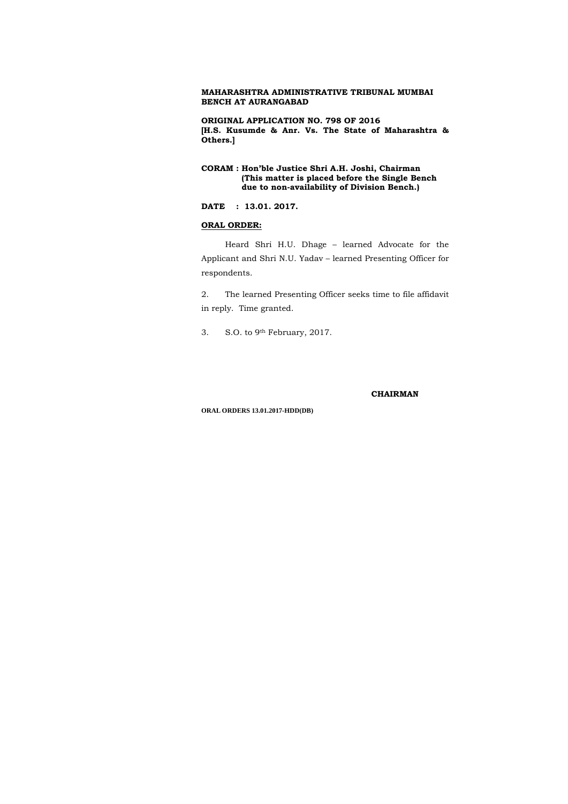**ORIGINAL APPLICATION NO. 798 OF 2016 [H.S. Kusumde & Anr. Vs. The State of Maharashtra & Others.]**

## **CORAM : Hon'ble Justice Shri A.H. Joshi, Chairman (This matter is placed before the Single Bench due to non-availability of Division Bench.)**

### **DATE : 13.01. 2017.**

### **ORAL ORDER:**

Heard Shri H.U. Dhage – learned Advocate for the Applicant and Shri N.U. Yadav – learned Presenting Officer for respondents.

2. The learned Presenting Officer seeks time to file affidavit in reply. Time granted.

3. S.O. to 9th February, 2017.

#### **CHAIRMAN**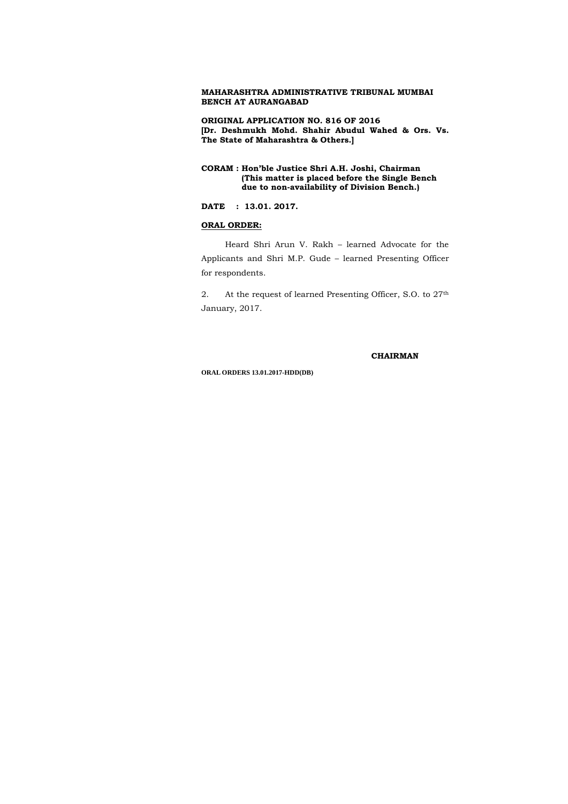**ORIGINAL APPLICATION NO. 816 OF 2016 [Dr. Deshmukh Mohd. Shahir Abudul Wahed & Ors. Vs. The State of Maharashtra & Others.]**

## **CORAM : Hon'ble Justice Shri A.H. Joshi, Chairman (This matter is placed before the Single Bench due to non-availability of Division Bench.)**

2. At the request of learned Presenting Officer, S.O. to 27<sup>th</sup> January, 2017.

## **DATE : 13.01. 2017.**

### **ORAL ORDER:**

Heard Shri Arun V. Rakh – learned Advocate for the Applicants and Shri M.P. Gude – learned Presenting Officer for respondents.

#### **CHAIRMAN**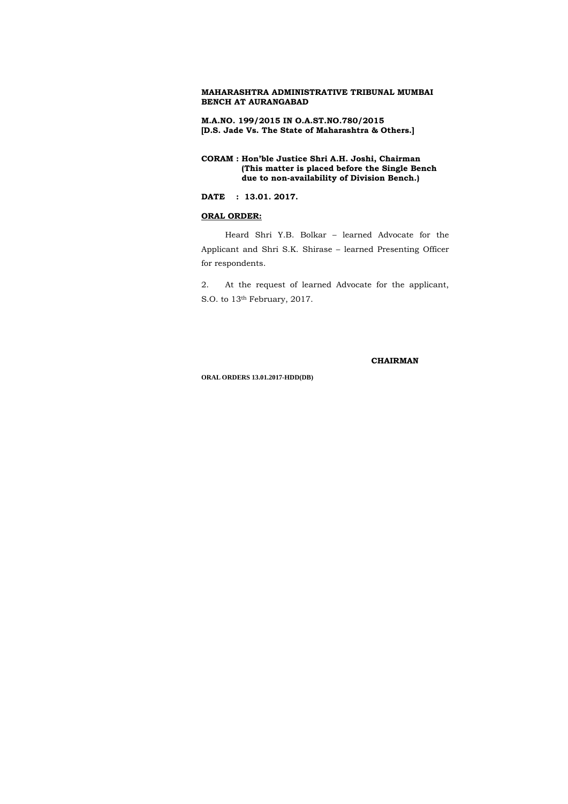**M.A.NO. 199/2015 IN O.A.ST.NO.780/2015 [D.S. Jade Vs. The State of Maharashtra & Others.]**

**CORAM : Hon'ble Justice Shri A.H. Joshi, Chairman (This matter is placed before the Single Bench due to non-availability of Division Bench.)** 

2. At the request of learned Advocate for the applicant, S.O. to 13<sup>th</sup> February, 2017.

**DATE : 13.01. 2017.**

### **ORAL ORDER:**

Heard Shri Y.B. Bolkar – learned Advocate for the Applicant and Shri S.K. Shirase – learned Presenting Officer for respondents.

 **CHAIRMAN**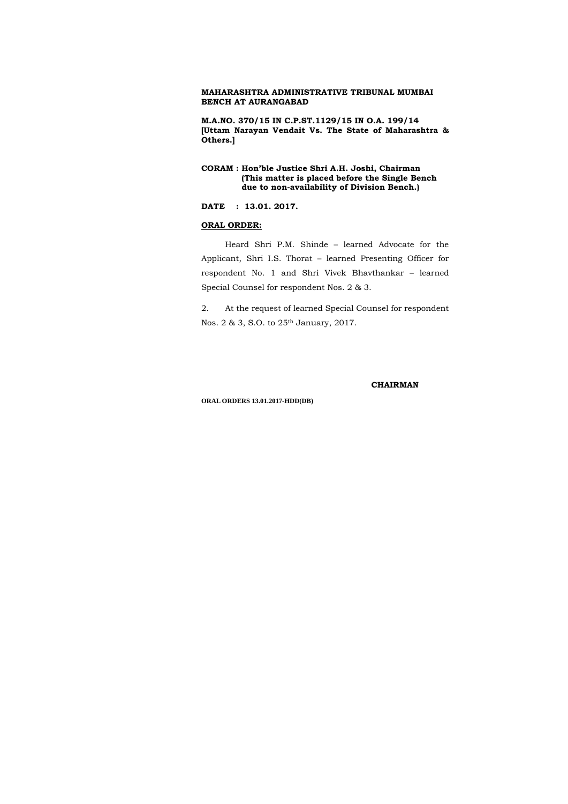**M.A.NO. 370/15 IN C.P.ST.1129/15 IN O.A. 199/14 [Uttam Narayan Vendait Vs. The State of Maharashtra & Others.]**

## **CORAM : Hon'ble Justice Shri A.H. Joshi, Chairman (This matter is placed before the Single Bench due to non-availability of Division Bench.)**

**DATE : 13.01. 2017.**

### **ORAL ORDER:**

Heard Shri P.M. Shinde – learned Advocate for the Applicant, Shri I.S. Thorat – learned Presenting Officer for respondent No. 1 and Shri Vivek Bhavthankar – learned Special Counsel for respondent Nos. 2 & 3.

2. At the request of learned Special Counsel for respondent Nos. 2 & 3, S.O. to 25th January, 2017.

 **CHAIRMAN**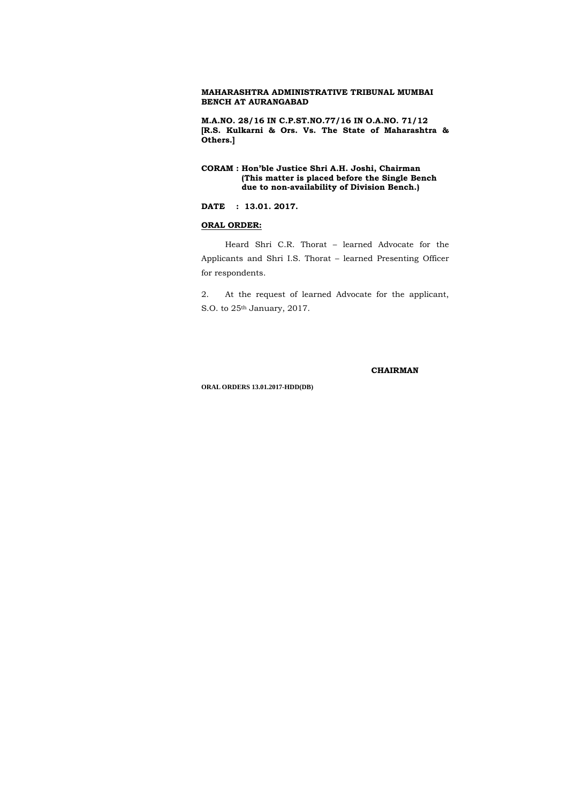**M.A.NO. 28/16 IN C.P.ST.NO.77/16 IN O.A.NO. 71/12 [R.S. Kulkarni & Ors. Vs. The State of Maharashtra & Others.]**

2. At the request of learned Advocate for the applicant, S.O. to 25<sup>th</sup> January, 2017.

## **CORAM : Hon'ble Justice Shri A.H. Joshi, Chairman (This matter is placed before the Single Bench due to non-availability of Division Bench.)**

## **DATE : 13.01. 2017.**

### **ORAL ORDER:**

Heard Shri C.R. Thorat – learned Advocate for the Applicants and Shri I.S. Thorat – learned Presenting Officer for respondents.

 **CHAIRMAN**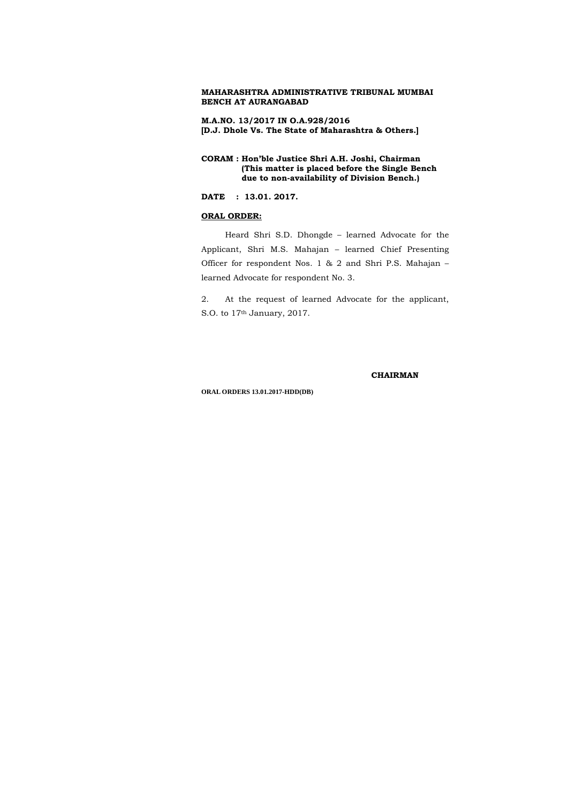**M.A.NO. 13/2017 IN O.A.928/2016 [D.J. Dhole Vs. The State of Maharashtra & Others.]**

**CORAM : Hon'ble Justice Shri A.H. Joshi, Chairman (This matter is placed before the Single Bench due to non-availability of Division Bench.)** 

2. At the request of learned Advocate for the applicant, S.O. to 17<sup>th</sup> January, 2017.

**DATE : 13.01. 2017.**

## **ORAL ORDER:**

Heard Shri S.D. Dhongde – learned Advocate for the Applicant, Shri M.S. Mahajan – learned Chief Presenting Officer for respondent Nos. 1 & 2 and Shri P.S. Mahajan – learned Advocate for respondent No. 3.

 **CHAIRMAN**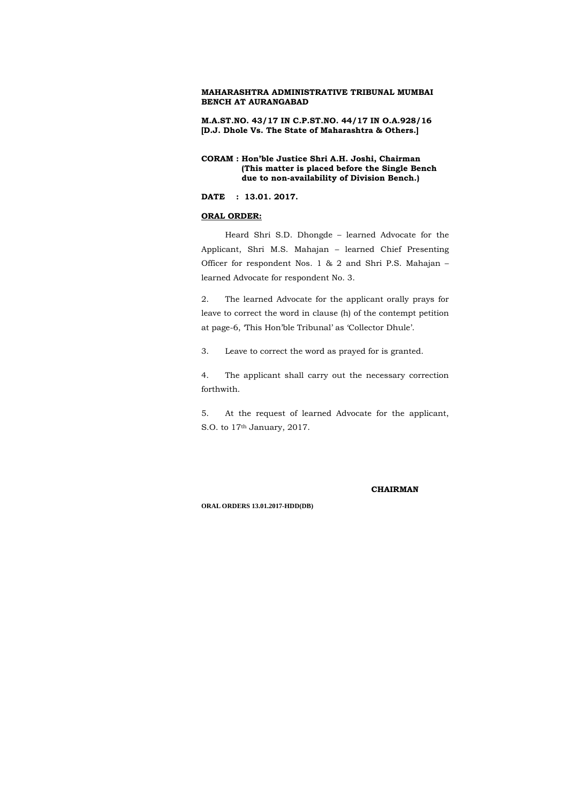**M.A.ST.NO. 43/17 IN C.P.ST.NO. 44/17 IN O.A.928/16 [D.J. Dhole Vs. The State of Maharashtra & Others.]**

### **CORAM : Hon'ble Justice Shri A.H. Joshi, Chairman (This matter is placed before the Single Bench due to non-availability of Division Bench.)**

**DATE : 13.01. 2017.**

### **ORAL ORDER:**

5. At the request of learned Advocate for the applicant, S.O. to 17<sup>th</sup> January, 2017.

Heard Shri S.D. Dhongde – learned Advocate for the Applicant, Shri M.S. Mahajan – learned Chief Presenting Officer for respondent Nos. 1 & 2 and Shri P.S. Mahajan – learned Advocate for respondent No. 3.

2. The learned Advocate for the applicant orally prays for leave to correct the word in clause (h) of the contempt petition at page-6, 'This Hon'ble Tribunal' as 'Collector Dhule'.

3. Leave to correct the word as prayed for is granted.

4. The applicant shall carry out the necessary correction forthwith.

#### **CHAIRMAN**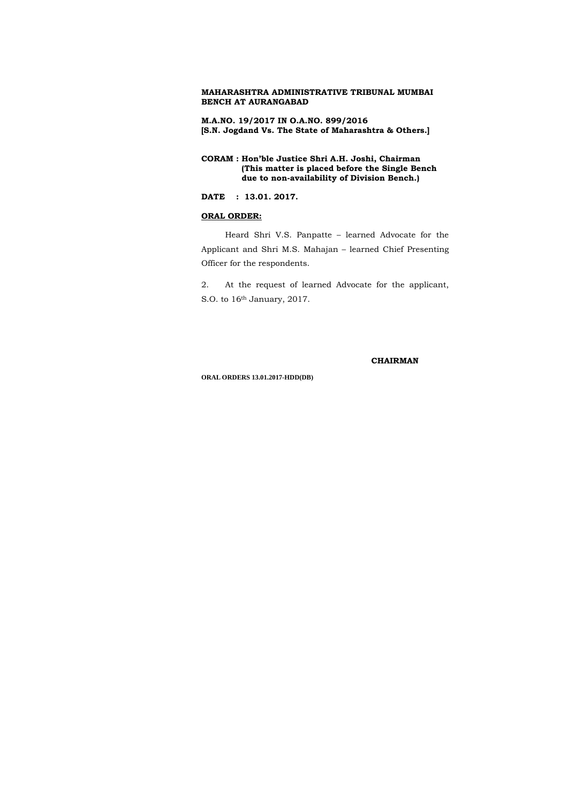**M.A.NO. 19/2017 IN O.A.NO. 899/2016 [S.N. Jogdand Vs. The State of Maharashtra & Others.]**

**CORAM : Hon'ble Justice Shri A.H. Joshi, Chairman (This matter is placed before the Single Bench due to non-availability of Division Bench.)** 

2. At the request of learned Advocate for the applicant, S.O. to 16<sup>th</sup> January, 2017.

**DATE : 13.01. 2017.**

### **ORAL ORDER:**

Heard Shri V.S. Panpatte – learned Advocate for the Applicant and Shri M.S. Mahajan – learned Chief Presenting Officer for the respondents.

 **CHAIRMAN**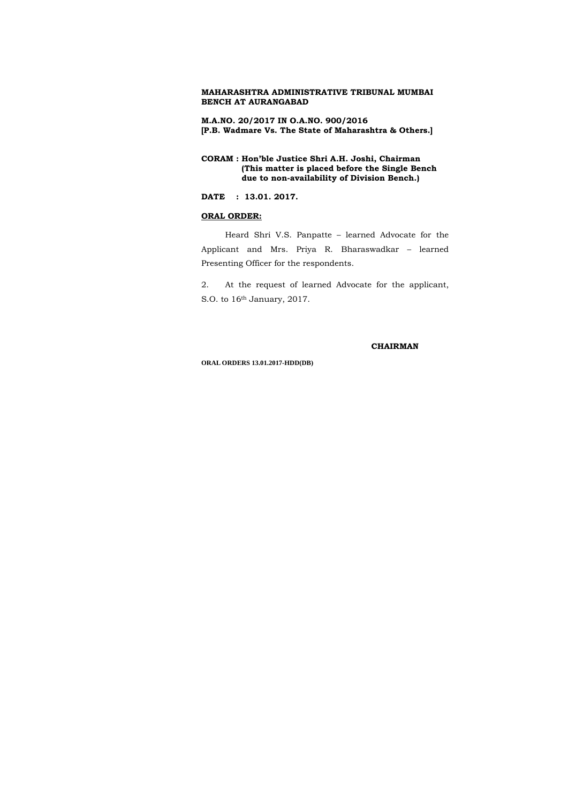**M.A.NO. 20/2017 IN O.A.NO. 900/2016 [P.B. Wadmare Vs. The State of Maharashtra & Others.]**

**CORAM : Hon'ble Justice Shri A.H. Joshi, Chairman (This matter is placed before the Single Bench due to non-availability of Division Bench.)** 

2. At the request of learned Advocate for the applicant, S.O. to 16<sup>th</sup> January, 2017.

**DATE : 13.01. 2017.**

### **ORAL ORDER:**

Heard Shri V.S. Panpatte – learned Advocate for the Applicant and Mrs. Priya R. Bharaswadkar – learned Presenting Officer for the respondents.

#### **CHAIRMAN**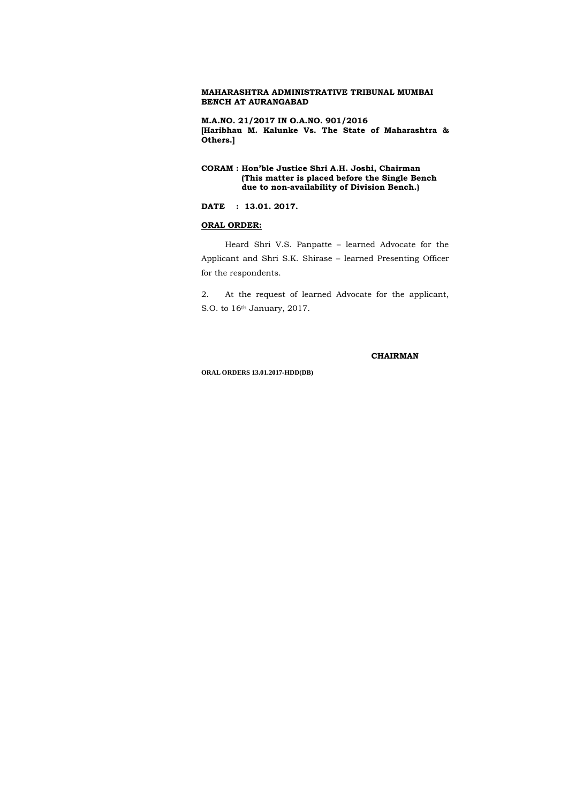**M.A.NO. 21/2017 IN O.A.NO. 901/2016 [Haribhau M. Kalunke Vs. The State of Maharashtra & Others.]**

## **CORAM : Hon'ble Justice Shri A.H. Joshi, Chairman (This matter is placed before the Single Bench due to non-availability of Division Bench.)**

2. At the request of learned Advocate for the applicant, S.O. to 16<sup>th</sup> January, 2017.

### **DATE : 13.01. 2017.**

### **ORAL ORDER:**

Heard Shri V.S. Panpatte – learned Advocate for the Applicant and Shri S.K. Shirase – learned Presenting Officer for the respondents.

#### **CHAIRMAN**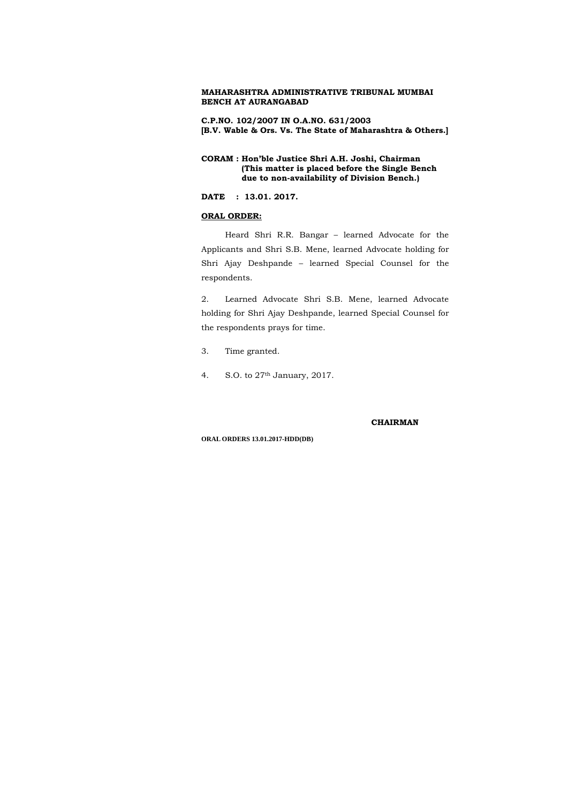**C.P.NO. 102/2007 IN O.A.NO. 631/2003 [B.V. Wable & Ors. Vs. The State of Maharashtra & Others.]**

## **CORAM : Hon'ble Justice Shri A.H. Joshi, Chairman (This matter is placed before the Single Bench due to non-availability of Division Bench.)**

**DATE : 13.01. 2017.**

## **ORAL ORDER:**

Heard Shri R.R. Bangar – learned Advocate for the Applicants and Shri S.B. Mene, learned Advocate holding for Shri Ajay Deshpande – learned Special Counsel for the respondents.

2. Learned Advocate Shri S.B. Mene, learned Advocate holding for Shri Ajay Deshpande, learned Special Counsel for the respondents prays for time.

- 3. Time granted.
- 4. S.O. to 27th January, 2017.

#### **CHAIRMAN**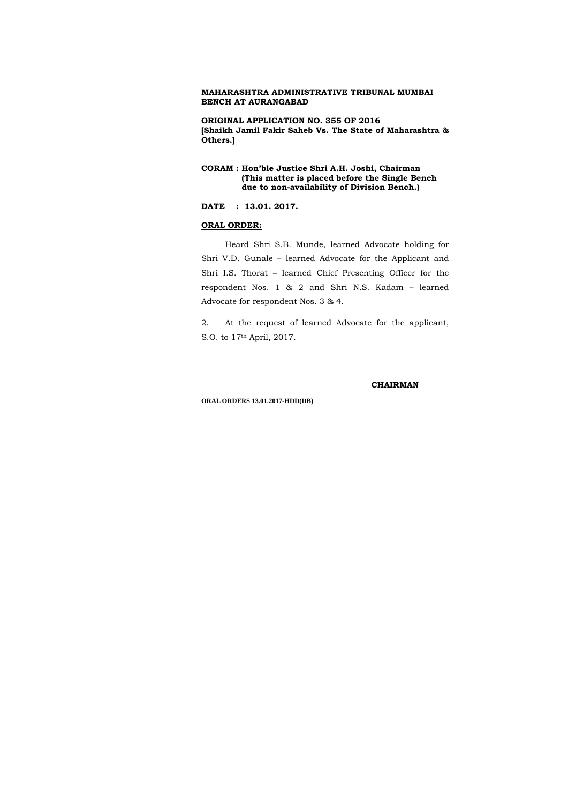**ORIGINAL APPLICATION NO. 355 OF 2016 [Shaikh Jamil Fakir Saheb Vs. The State of Maharashtra & Others.]**

## **CORAM : Hon'ble Justice Shri A.H. Joshi, Chairman (This matter is placed before the Single Bench due to non-availability of Division Bench.)**

**DATE : 13.01. 2017.**

### **ORAL ORDER:**

Heard Shri S.B. Munde, learned Advocate holding for Shri V.D. Gunale – learned Advocate for the Applicant and Shri I.S. Thorat – learned Chief Presenting Officer for the respondent Nos. 1 & 2 and Shri N.S. Kadam – learned Advocate for respondent Nos. 3 & 4.

2. At the request of learned Advocate for the applicant, S.O. to 17th April, 2017.

### **CHAIRMAN**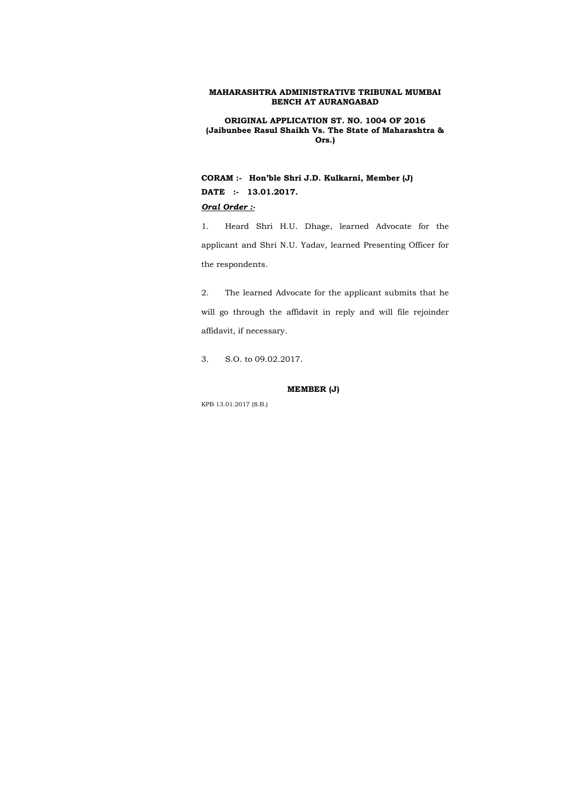**ORIGINAL APPLICATION ST. NO. 1004 OF 2016 (Jaibunbee Rasul Shaikh Vs. The State of Maharashtra & Ors.)** 

**CORAM :- Hon'ble Shri J.D. Kulkarni, Member (J) DATE :- 13.01.2017.** 

## *Oral Order :-*

1. Heard Shri H.U. Dhage, learned Advocate for the applicant and Shri N.U. Yadav, learned Presenting Officer for the respondents.

2. The learned Advocate for the applicant submits that he will go through the affidavit in reply and will file rejoinder affidavit, if necessary.

3. S.O. to 09.02.2017.

### **MEMBER (J)**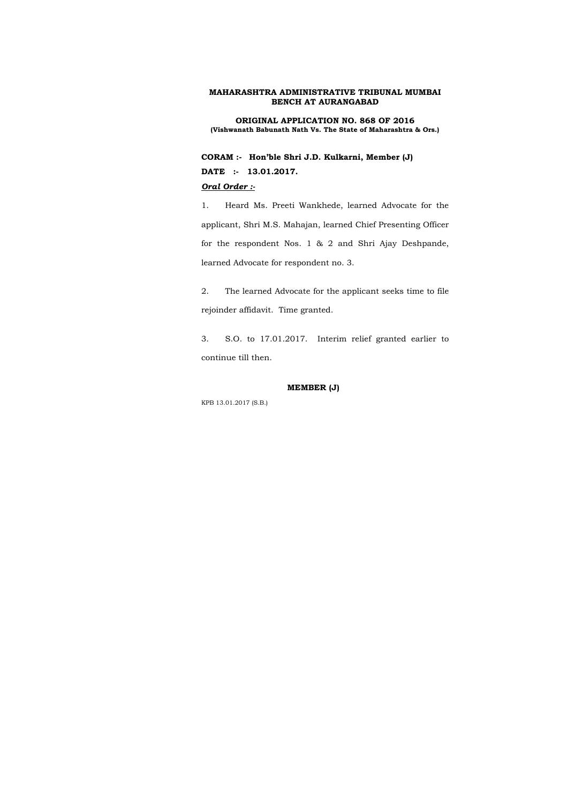**ORIGINAL APPLICATION NO. 868 OF 2016 (Vishwanath Babunath Nath Vs. The State of Maharashtra & Ors.)** 

**CORAM :- Hon'ble Shri J.D. Kulkarni, Member (J) DATE :- 13.01.2017.** 

## *Oral Order :-*

1. Heard Ms. Preeti Wankhede, learned Advocate for the applicant, Shri M.S. Mahajan, learned Chief Presenting Officer for the respondent Nos. 1 & 2 and Shri Ajay Deshpande, learned Advocate for respondent no. 3.

2. The learned Advocate for the applicant seeks time to file rejoinder affidavit. Time granted.

3. S.O. to 17.01.2017. Interim relief granted earlier to continue till then.

### **MEMBER (J)**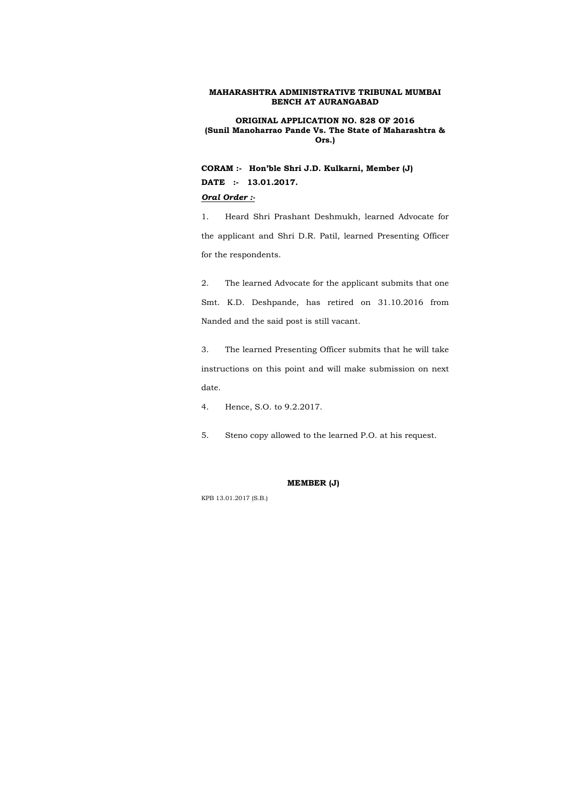**ORIGINAL APPLICATION NO. 828 OF 2016 (Sunil Manoharrao Pande Vs. The State of Maharashtra & Ors.)** 

**CORAM :- Hon'ble Shri J.D. Kulkarni, Member (J) DATE :- 13.01.2017.** 

## *Oral Order :-*

1. Heard Shri Prashant Deshmukh, learned Advocate for the applicant and Shri D.R. Patil, learned Presenting Officer for the respondents.

2. The learned Advocate for the applicant submits that one Smt. K.D. Deshpande, has retired on 31.10.2016 from Nanded and the said post is still vacant.

3. The learned Presenting Officer submits that he will take instructions on this point and will make submission on next date.

4. Hence, S.O. to 9.2.2017.

5. Steno copy allowed to the learned P.O. at his request.

### **MEMBER (J)**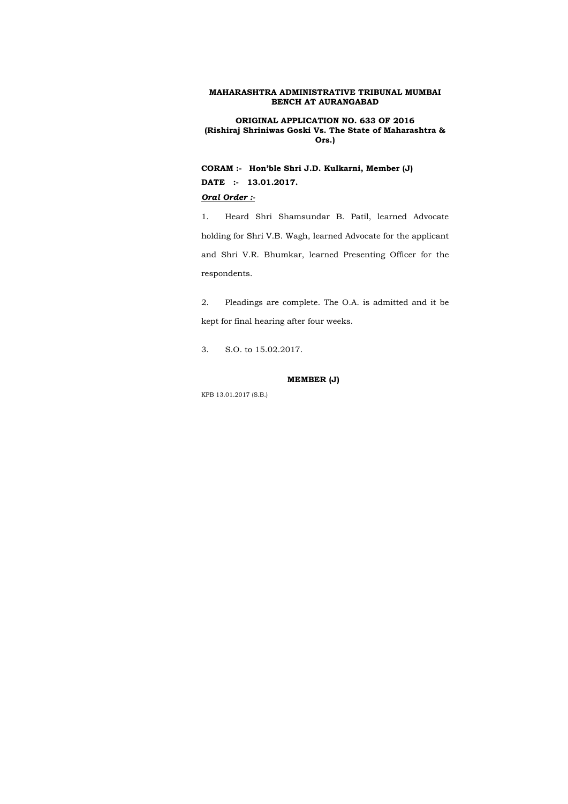**ORIGINAL APPLICATION NO. 633 OF 2016 (Rishiraj Shriniwas Goski Vs. The State of Maharashtra & Ors.)** 

**CORAM :- Hon'ble Shri J.D. Kulkarni, Member (J) DATE :- 13.01.2017.** 

### *Oral Order :-*

1. Heard Shri Shamsundar B. Patil, learned Advocate holding for Shri V.B. Wagh, learned Advocate for the applicant and Shri V.R. Bhumkar, learned Presenting Officer for the respondents.

2. Pleadings are complete. The O.A. is admitted and it be kept for final hearing after four weeks.

3. S.O. to 15.02.2017.

### **MEMBER (J)**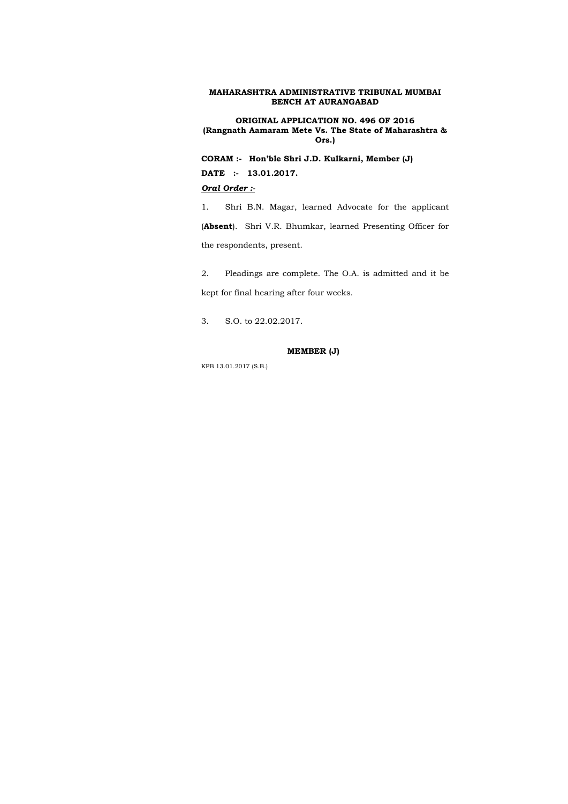**ORIGINAL APPLICATION NO. 496 OF 2016 (Rangnath Aamaram Mete Vs. The State of Maharashtra & Ors.)** 

**CORAM :- Hon'ble Shri J.D. Kulkarni, Member (J) DATE :- 13.01.2017.**  *Oral Order :-*

1. Shri B.N. Magar, learned Advocate for the applicant (**Absent**). Shri V.R. Bhumkar, learned Presenting Officer for the respondents, present.

2. Pleadings are complete. The O.A. is admitted and it be kept for final hearing after four weeks.

3. S.O. to 22.02.2017.

### **MEMBER (J)**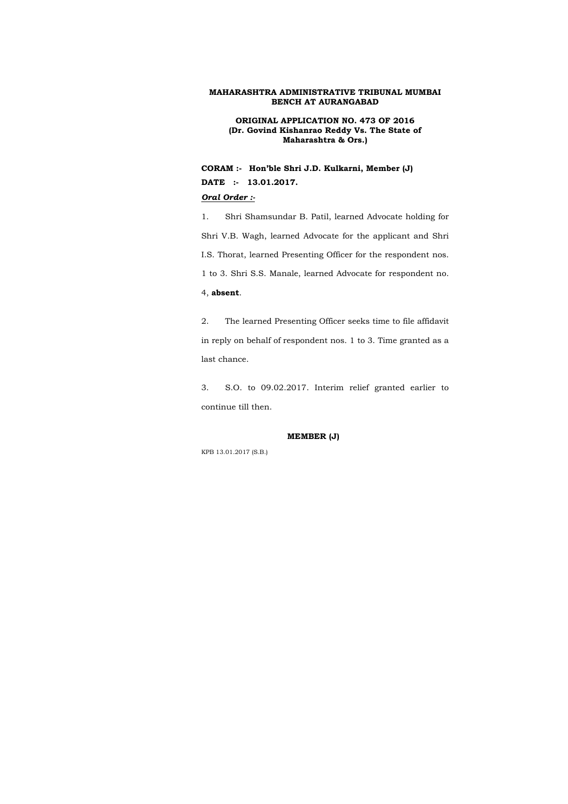**ORIGINAL APPLICATION NO. 473 OF 2016 (Dr. Govind Kishanrao Reddy Vs. The State of Maharashtra & Ors.)** 

**CORAM :- Hon'ble Shri J.D. Kulkarni, Member (J) DATE :- 13.01.2017.** 

## *Oral Order :-*

1. Shri Shamsundar B. Patil, learned Advocate holding for Shri V.B. Wagh, learned Advocate for the applicant and Shri I.S. Thorat, learned Presenting Officer for the respondent nos. 1 to 3. Shri S.S. Manale, learned Advocate for respondent no. 4, **absent**.

2. The learned Presenting Officer seeks time to file affidavit in reply on behalf of respondent nos. 1 to 3. Time granted as a last chance.

3. S.O. to 09.02.2017. Interim relief granted earlier to continue till then.

### **MEMBER (J)**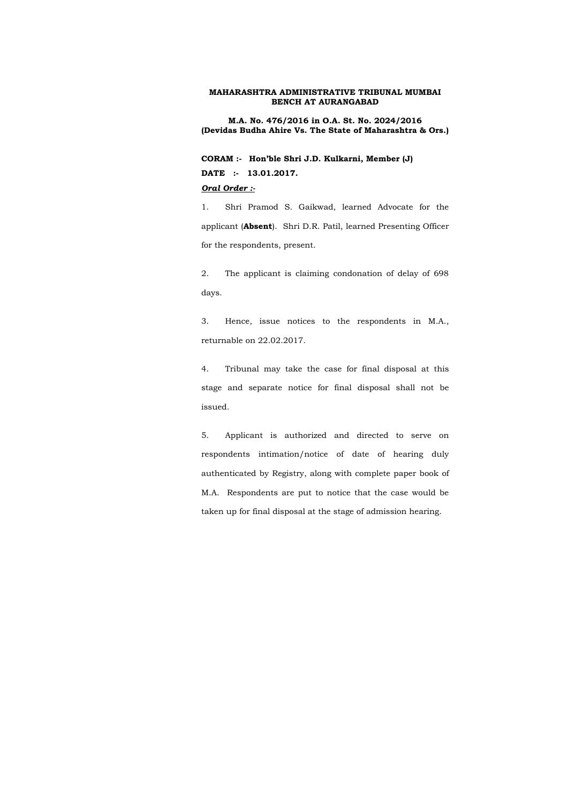**M.A. No. 476/2016 in O.A. St. No. 2024/2016 (Devidas Budha Ahire Vs. The State of Maharashtra & Ors.)** 

**CORAM :- Hon'ble Shri J.D. Kulkarni, Member (J) DATE :- 13.01.2017.**  *Oral Order :-*

1. Shri Pramod S. Gaikwad, learned Advocate for the applicant (**Absent**). Shri D.R. Patil, learned Presenting Officer for the respondents, present.

2. The applicant is claiming condonation of delay of 698 days.

3. Hence, issue notices to the respondents in M.A., returnable on 22.02.2017.

4. Tribunal may take the case for final disposal at this stage and separate notice for final disposal shall not be issued.

5. Applicant is authorized and directed to serve on respondents intimation/notice of date of hearing duly authenticated by Registry, along with complete paper book of M.A. Respondents are put to notice that the case would be taken up for final disposal at the stage of admission hearing.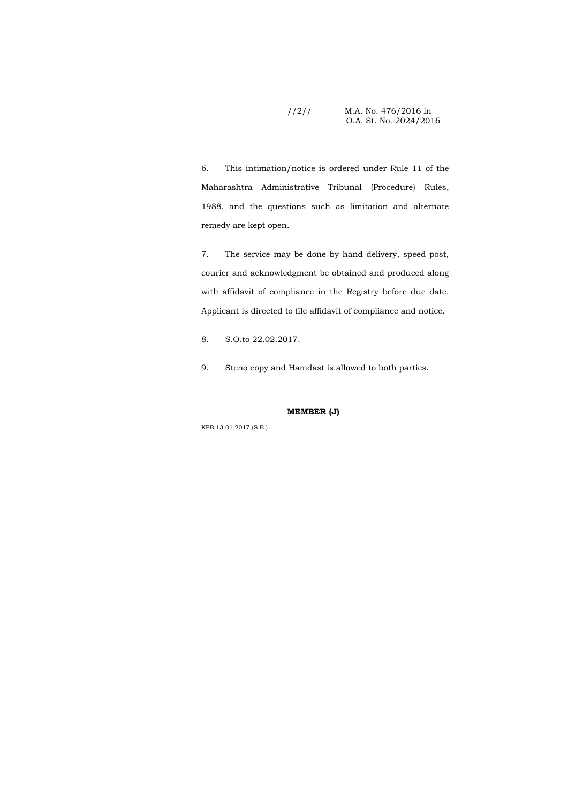## //2// M.A. No. 476/2016 in O.A. St. No. 2024/2016

6. This intimation/notice is ordered under Rule 11 of the Maharashtra Administrative Tribunal (Procedure) Rules, 1988, and the questions such as limitation and alternate remedy are kept open.

7. The service may be done by hand delivery, speed post, courier and acknowledgment be obtained and produced along with affidavit of compliance in the Registry before due date. Applicant is directed to file affidavit of compliance and notice.

8. S.O.to 22.02.2017.

9. Steno copy and Hamdast is allowed to both parties.

### **MEMBER (J)**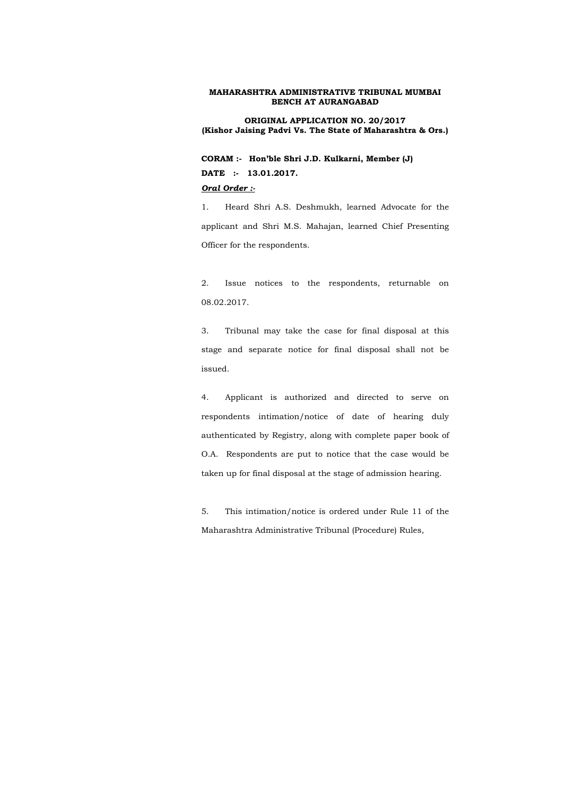**ORIGINAL APPLICATION NO. 20/2017 (Kishor Jaising Padvi Vs. The State of Maharashtra & Ors.)** 

**CORAM :- Hon'ble Shri J.D. Kulkarni, Member (J) DATE :- 13.01.2017.**  *Oral Order :-*

1. Heard Shri A.S. Deshmukh, learned Advocate for the applicant and Shri M.S. Mahajan, learned Chief Presenting Officer for the respondents.

2. Issue notices to the respondents, returnable on 08.02.2017.

3. Tribunal may take the case for final disposal at this stage and separate notice for final disposal shall not be issued.

4. Applicant is authorized and directed to serve on respondents intimation/notice of date of hearing duly authenticated by Registry, along with complete paper book of O.A. Respondents are put to notice that the case would be taken up for final disposal at the stage of admission hearing.

5. This intimation/notice is ordered under Rule 11 of the Maharashtra Administrative Tribunal (Procedure) Rules,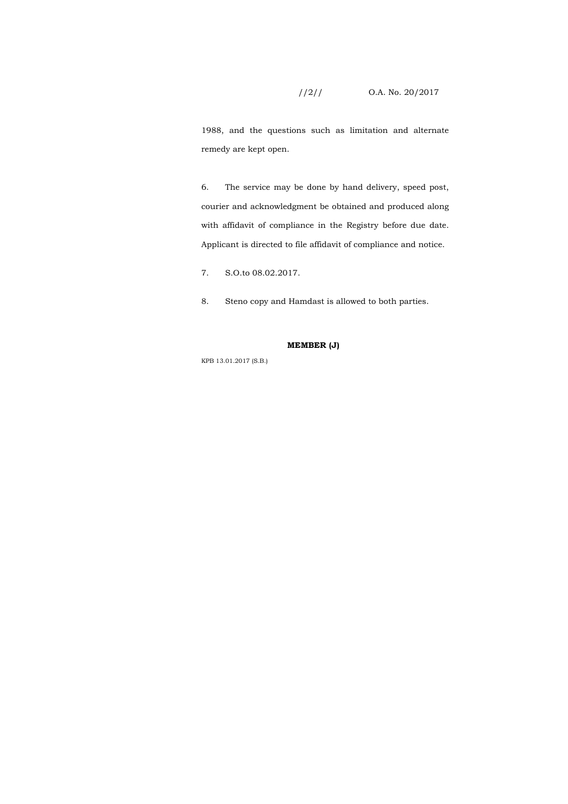# //2// O.A. No. 20/2017

1988, and the questions such as limitation and alternate remedy are kept open.

6. The service may be done by hand delivery, speed post, courier and acknowledgment be obtained and produced along with affidavit of compliance in the Registry before due date. Applicant is directed to file affidavit of compliance and notice.

7. S.O.to 08.02.2017.

8. Steno copy and Hamdast is allowed to both parties.

### **MEMBER (J)**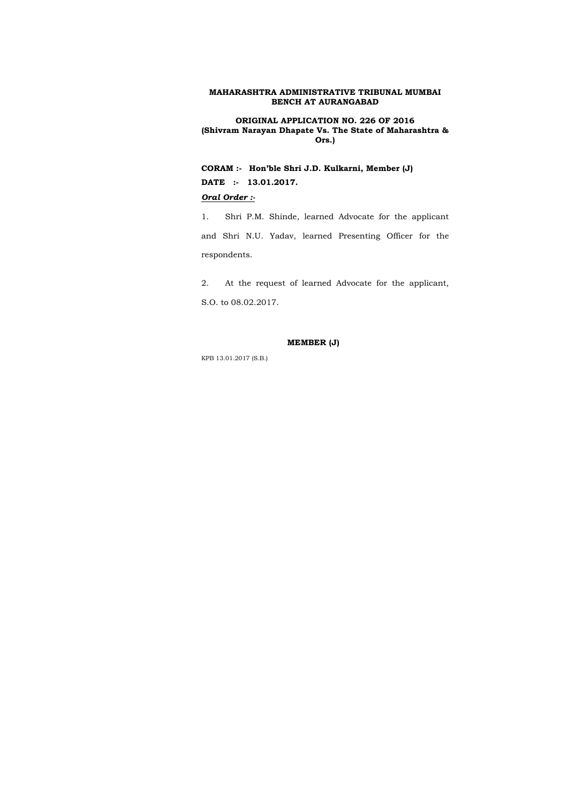**ORIGINAL APPLICATION NO. 226 OF 2016 (Shivram Narayan Dhapate Vs. The State of Maharashtra & Ors.)** 

**CORAM :- Hon'ble Shri J.D. Kulkarni, Member (J) DATE :- 13.01.2017.** 

## *Oral Order :-*

1. Shri P.M. Shinde, learned Advocate for the applicant and Shri N.U. Yadav, learned Presenting Officer for the respondents.

2. At the request of learned Advocate for the applicant, S.O. to 08.02.2017.

### **MEMBER (J)**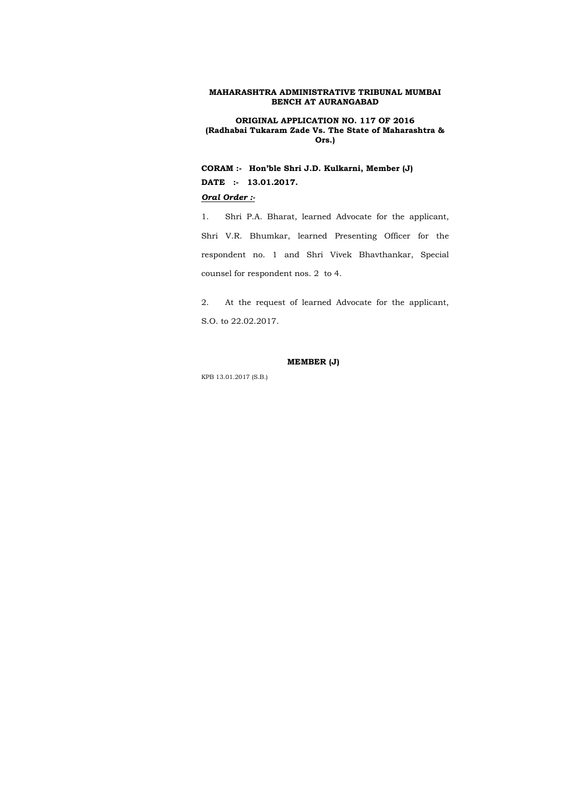**ORIGINAL APPLICATION NO. 117 OF 2016 (Radhabai Tukaram Zade Vs. The State of Maharashtra & Ors.)** 

**CORAM :- Hon'ble Shri J.D. Kulkarni, Member (J) DATE :- 13.01.2017.** 

### *Oral Order :-*

1. Shri P.A. Bharat, learned Advocate for the applicant, Shri V.R. Bhumkar, learned Presenting Officer for the respondent no. 1 and Shri Vivek Bhavthankar, Special counsel for respondent nos. 2 to 4.

2. At the request of learned Advocate for the applicant, S.O. to 22.02.2017.

### **MEMBER (J)**